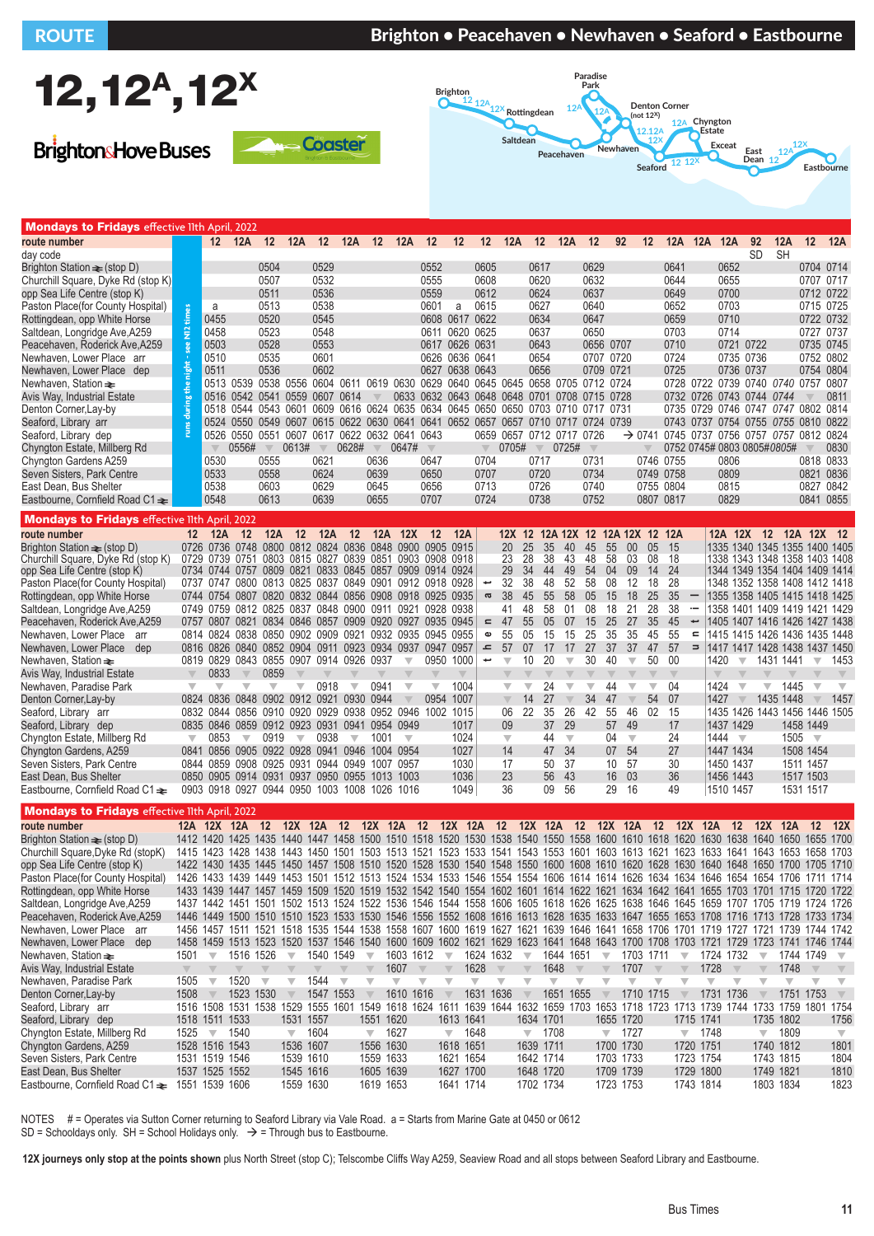## ROUTE BRIGHT BRIGHT IN Brighton • Peacehaven • Newhaven • Seaford • Eastbourne



**BrightonsHove Buses** 





| <b>Mondays to Fridays</b> effective lith April, 2022                                                                                                                                                                                                                                                                                                                                                                                                                                                                                                                                                                                                                                                            |                                                    |                                                                                                                                                                  |                                                                                                                                                     |                                                                                                                                 |                                                                                                                     |                                                                                                                                 |                                                          |                                                                                                                         |                                                                                                                                                                                                                                                                                                                                                                                                                                                                                                                                                                                                                                                                                                                                                                                                                                                                                                                                                                                                                                                                                                                                                                                                                                                                                                        |                                                                                                                                                                                                                                   |                                                                                                                                                               |                                                                                         |                                                                                                                                                                                                    |                                                                                                                      |                                                                                                                     |                                                                                                                                                                                                    |                                                                                                                            |                                                                                                                                                                                                                                                                                                                                                          |                                                                                                 |                                                                                                                                               |                                                                        |                                                                                                                                                                                                                               |                                                                                                             |                                                                               |                                                                                                      |                                                                                                                                                                                                                                                                                                                                                                                                                                                                                                                                        |                                                                                                           |
|-----------------------------------------------------------------------------------------------------------------------------------------------------------------------------------------------------------------------------------------------------------------------------------------------------------------------------------------------------------------------------------------------------------------------------------------------------------------------------------------------------------------------------------------------------------------------------------------------------------------------------------------------------------------------------------------------------------------|----------------------------------------------------|------------------------------------------------------------------------------------------------------------------------------------------------------------------|-----------------------------------------------------------------------------------------------------------------------------------------------------|---------------------------------------------------------------------------------------------------------------------------------|---------------------------------------------------------------------------------------------------------------------|---------------------------------------------------------------------------------------------------------------------------------|----------------------------------------------------------|-------------------------------------------------------------------------------------------------------------------------|--------------------------------------------------------------------------------------------------------------------------------------------------------------------------------------------------------------------------------------------------------------------------------------------------------------------------------------------------------------------------------------------------------------------------------------------------------------------------------------------------------------------------------------------------------------------------------------------------------------------------------------------------------------------------------------------------------------------------------------------------------------------------------------------------------------------------------------------------------------------------------------------------------------------------------------------------------------------------------------------------------------------------------------------------------------------------------------------------------------------------------------------------------------------------------------------------------------------------------------------------------------------------------------------------------|-----------------------------------------------------------------------------------------------------------------------------------------------------------------------------------------------------------------------------------|---------------------------------------------------------------------------------------------------------------------------------------------------------------|-----------------------------------------------------------------------------------------|----------------------------------------------------------------------------------------------------------------------------------------------------------------------------------------------------|----------------------------------------------------------------------------------------------------------------------|---------------------------------------------------------------------------------------------------------------------|----------------------------------------------------------------------------------------------------------------------------------------------------------------------------------------------------|----------------------------------------------------------------------------------------------------------------------------|----------------------------------------------------------------------------------------------------------------------------------------------------------------------------------------------------------------------------------------------------------------------------------------------------------------------------------------------------------|-------------------------------------------------------------------------------------------------|-----------------------------------------------------------------------------------------------------------------------------------------------|------------------------------------------------------------------------|-------------------------------------------------------------------------------------------------------------------------------------------------------------------------------------------------------------------------------|-------------------------------------------------------------------------------------------------------------|-------------------------------------------------------------------------------|------------------------------------------------------------------------------------------------------|----------------------------------------------------------------------------------------------------------------------------------------------------------------------------------------------------------------------------------------------------------------------------------------------------------------------------------------------------------------------------------------------------------------------------------------------------------------------------------------------------------------------------------------|-----------------------------------------------------------------------------------------------------------|
| route number                                                                                                                                                                                                                                                                                                                                                                                                                                                                                                                                                                                                                                                                                                    |                                                    |                                                                                                                                                                  |                                                                                                                                                     |                                                                                                                                 |                                                                                                                     |                                                                                                                                 |                                                          |                                                                                                                         | 12 12A 12 12A 12 12A 12 12A 12 12 12 12 12A 12 12A 12 92                                                                                                                                                                                                                                                                                                                                                                                                                                                                                                                                                                                                                                                                                                                                                                                                                                                                                                                                                                                                                                                                                                                                                                                                                                               |                                                                                                                                                                                                                                   |                                                                                                                                                               |                                                                                         |                                                                                                                                                                                                    |                                                                                                                      |                                                                                                                     |                                                                                                                                                                                                    |                                                                                                                            |                                                                                                                                                                                                                                                                                                                                                          |                                                                                                 |                                                                                                                                               |                                                                        | 12 12A 12A 12A                                                                                                                                                                                                                |                                                                                                             | 92                                                                            | 12A                                                                                                  | 12 12A                                                                                                                                                                                                                                                                                                                                                                                                                                                                                                                                 |                                                                                                           |
| day code<br>Brighton Station $\equiv$ (stop D)<br>Churchill Square, Dyke Rd (stop K)<br>opp Sea Life Centre (stop K)<br>Paston Place (for County Hospital)<br>Rottingdean, opp White Horse<br>Saltdean, Longridge Ave, A259<br>Peacehaven, Roderick Ave, A259<br>Newhaven, Lower Place arr<br>Newhaven, Lower Place dep<br>Newhaven, Station $\equiv$<br>Avis Way, Industrial Estate<br>Denton Corner, Lay-by<br>Seaford, Library arr<br>Seaford, Library dep<br>Chyngton Estate, Millberg Rd<br>Chyngton Gardens A259<br>Seven Sisters, Park Centre<br>East Dean, Bus Shelter<br>Eastbourne, Cornfield Road C1 $\equiv$                                                                                        | times<br>$\tilde{\mathbf{z}}$<br>nieht<br>Ĕ        | a<br>0455<br>0458<br>0503<br>0510<br>0511<br>0530<br>0533<br>0538<br>0548                                                                                        | 0516 0542 0541 0559 0607 0614<br>0556#                                                                                                              | 0504<br>0507<br>0511<br>0513<br>0520<br>0523<br>0528<br>0535<br>0536<br>$\overline{\mathbb{V}}$<br>0555<br>0558<br>0603<br>0613 | 0613#                                                                                                               | 0529<br>0532<br>0536<br>0538<br>0545<br>0548<br>0553<br>0601<br>0602<br>$\overline{\mathbf{v}}$<br>0621<br>0624<br>0629<br>0639 | 0628#                                                    | $\mathbb {V}$<br>0636<br>0639<br>0645<br>0655                                                                           | 0513 0539 0538 0556 0604 0611 0619 0630 0629 0640 0645 0645 0658 0705 0712 0724<br>0518 0544 0543 0601 0609 0616 0624 0635 0634 0645 0650 0650 0703 0710 0717 0731<br>0524 0550 0549 0607 0615 0622 0630 0641 0641 0652 0657 0657 0710 0717 0724 0739<br>0526 0550 0551 0607 0617 0622 0632 0641 0643<br>0647#                                                                                                                                                                                                                                                                                                                                                                                                                                                                                                                                                                                                                                                                                                                                                                                                                                                                                                                                                                                         | 0552<br>0555<br>0559<br>0601<br>0608 0617 0622<br>0611 0620 0625<br>0617 0626 0631<br>0626 0636 0641<br>0627 0638 0643<br>0633 0632 0643 0648 0648 0701 0708 0715 0728<br>$\overline{\mathbb{V}}$<br>0647<br>0650<br>0656<br>0707 | a                                                                                                                                                             | 0605<br>0608<br>0612<br>0615<br>$\overline{\mathbb{V}}$<br>0704<br>0707<br>0713<br>0724 | 0705#                                                                                                                                                                                              |                                                                                                                      | 0617<br>0620<br>0624<br>0627<br>0634<br>0637<br>0643<br>0654<br>0656<br>$\mathbb V$<br>0717<br>0720<br>0726<br>0738 | 0659 0657 0712 0717 0726<br>0725#                                                                                                                                                                  | 0629<br>0632<br>0637<br>0640<br>0647<br>0650<br>$\overline{\mathbb{V}}$<br>0731<br>0734<br>0740<br>0752                    | 0656 0707<br>0707 0720<br>0709 0721                                                                                                                                                                                                                                                                                                                      | 0746 0755<br>0749 0758<br>0755 0804<br>0807 0817                                                | 0641<br>0644<br>0649<br>0652<br>0659<br>0703<br>0710<br>0724<br>0725                                                                          |                                                                        | 0714<br>0728 0722 0739 0740 0740 0757 0807<br>0732 0726 0743 0744 0744<br>0735 0729 0746 0747 0747 0802 0814<br>0743 0737 0754 0755 0755 0810 0822<br>→ 0741 0745 0737 0756 0757 0757 0812 0824<br>0752 0745# 0803 0805#0805# | 0652<br>0655<br>0700<br>0703<br>0710<br>0721 0722<br>0735 0736<br>0736 0737<br>0806<br>0809<br>0815<br>0829 | SD                                                                            | <b>SH</b>                                                                                            | 0704 0714<br>0707 0717<br>0712 0722<br>0715 0725<br>0722 0732<br>0727 0737<br>0735 0745<br>0752 0802<br>0754 0804<br>0818 0833<br>0821 0836<br>0827 0842<br>0841 0855                                                                                                                                                                                                                                                                                                                                                                  | 0811<br>0830                                                                                              |
| <b>Mondays to Fridays</b> effective lith April, 2022                                                                                                                                                                                                                                                                                                                                                                                                                                                                                                                                                                                                                                                            |                                                    |                                                                                                                                                                  |                                                                                                                                                     |                                                                                                                                 |                                                                                                                     |                                                                                                                                 |                                                          |                                                                                                                         |                                                                                                                                                                                                                                                                                                                                                                                                                                                                                                                                                                                                                                                                                                                                                                                                                                                                                                                                                                                                                                                                                                                                                                                                                                                                                                        |                                                                                                                                                                                                                                   |                                                                                                                                                               |                                                                                         |                                                                                                                                                                                                    |                                                                                                                      |                                                                                                                     |                                                                                                                                                                                                    |                                                                                                                            |                                                                                                                                                                                                                                                                                                                                                          |                                                                                                 |                                                                                                                                               |                                                                        |                                                                                                                                                                                                                               |                                                                                                             |                                                                               |                                                                                                      |                                                                                                                                                                                                                                                                                                                                                                                                                                                                                                                                        |                                                                                                           |
| route number<br>Brighton Station $\equiv$ (stop D)<br>Churchill Square, Dyke Rd (stop K)<br>opp Sea Life Centre (stop K)<br>Paston Place(for County Hospital)<br>Rottingdean, opp White Horse<br>Saltdean, Longridge Ave, A259<br>Peacehaven, Roderick Ave, A259<br>Newhaven, Lower Place<br>arr<br>Newhaven, Lower Place dep<br>Newhaven, Station $\equiv$<br>Avis Way, Industrial Estate<br>Newhaven, Paradise Park<br>Denton Corner, Lay-by<br>Seaford, Library arr<br>Seaford, Library dep<br>Chyngton Estate, Millberg Rd<br>Chyngton Gardens, A259<br>Seven Sisters, Park Centre<br>East Dean, Bus Shelter<br>Eastbourne, Cornfield Road C1 $\triangleq$                                                  | $\overline{\mathbf{v}}$<br>$\overline{\mathbf{v}}$ | $12 \quad 12A$<br>0833<br>$\overline{\mathbf{v}}$<br>0853                                                                                                        | $12 \,$<br>0819 0829 0843 0855 0907 0914 0926 0937<br>$\overline{\mathbf{v}}$<br>0824 0836 0848 0902 0912 0921 0930 0944<br>$\overline{\mathbf{v}}$ | 12A<br>0859<br>$\overline{\mathbf{v}}$<br>0919                                                                                  | 12<br>$\overline{\mathbb{V}}$<br>$\overline{\mathbf{v}}$                                                            | <b>12A</b><br>0918<br>0938                                                                                                      | 12<br>$\overline{\mathbf{v}}$<br>$\overline{\mathbf{v}}$ | 0941<br>1001                                                                                                            | 12A 12X 12<br>0726 0736 0748 0800 0812 0824 0836 0848 0900 0905 0915<br>0729 0739 0751 0803 0815 0827 0839 0851 0903 0908 0918<br>0734 0744 0757 0809 0821 0833 0845 0857 0909 0914 0924<br>0737 0747 0800 0813 0825 0837 0849 0901 0912 0918 0928<br>0744 0754 0807 0820 0832 0844 0856 0908 0918 0925 0935<br>0749 0759 0812 0825 0837 0848 0900 0911 0921 0928 0938<br>0757 0807 0821 0834 0846 0857 0909 0920 0927 0935<br>0814 0824 0838 0850 0902 0909 0921 0932 0935 0945<br>0816 0826 0840 0852 0904 0911 0923 0934 0937 0947 0957<br>$\overline{\mathbf{v}}$<br>$\overline{\mathbb{V}}$<br>0832 0844 0856 0910 0920 0929 0938 0952 0946 1002 1015<br>0835 0846 0859 0912 0923 0931 0941 0954 0949<br>$\overline{\mathbf{v}}$<br>0841 0856 0905 0922 0928 0941 0946 1004 0954<br>0844 0859 0908 0925 0931 0944 0949 1007 0957<br>0850 0905 0914 0931 0937 0950 0955 1013 1003<br>0903 0918 0927 0944 0950 1003 1008 1026 1016                                                                                                                                                                                                                                                                                                                                                                  | $\overline{\mathbf{v}}$<br>0954                                                                                                                                                                                                   | 12A<br>0945<br>0955<br>0950 1000<br>1004<br>1007<br>1017<br>1024<br>1027<br>1030<br>1036<br>1049                                                              | ÷<br>g<br>$\overline{a}$<br>Ф<br>$\,$ $\,$<br>$\overline{\phantom{a}}$                  | 20<br>23<br>29<br>32<br>38<br>41<br>47<br>55<br>57<br>$\overline{\mathbf{v}}$<br>$\overline{\mathbb{V}}$<br>$\overline{\mathbb{V}}$<br>06<br>09<br>$\overline{\mathbf{v}}$<br>14<br>17<br>23<br>36 | 25<br>28<br>34<br>38<br>45<br>48<br>55<br>05<br>07<br>10<br>$\overline{\mathbf{v}}$<br>14<br>22                      | 35<br>38<br>44<br>48<br>55<br>58<br>05<br>15<br>17<br>20<br>24<br>27<br>35<br>37<br>44<br>47<br>50<br>56<br>09      | 40<br>43<br>49<br>52<br>58<br>01<br>07<br>15<br>17<br>$\overline{\mathbb{V}}$<br>$\overline{\mathbb{V}}$<br>$\overline{\mathbb{V}}$<br>26<br>29<br>$\overline{\mathbf{v}}$<br>34<br>37<br>43<br>56 | 45<br>48<br>54<br>58<br>05<br>08<br>15<br>25<br>27<br>30<br>$\overline{\mathbb{V}}$<br>$\overline{\mathbf{v}}$<br>34<br>42 | 12X 12 12A 12X 12 12A 12X 12 12A<br>55<br>00<br>58<br>03<br>04<br>09<br>08<br>12<br>18<br>15<br>18<br>21<br>25<br>27<br>35<br>35<br>37<br>37<br>40<br>$\overline{\mathbf{v}}$<br>44<br>$\overline{\mathbf{v}}$<br>47<br>$\overline{\mathbb{V}}$<br>55<br>46<br>57<br>- 49<br>04<br>$\overline{\mathbf{v}}$<br>07 54<br>10 57<br>16<br>- 03<br>29<br>- 16 | 05<br>08<br>14<br>18<br>25<br>28<br>35<br>45<br>47<br>50<br>$\overline{\mathbb{V}}$<br>54<br>02 | 15<br>18<br>24<br>-28<br>35<br>38<br>45<br>55<br>57<br>00<br>$\overline{\mathbb{V}}$<br>04<br>-07<br>- 15<br>17<br>24<br>27<br>30<br>36<br>49 | $\cdot$<br>$\overline{\phantom{0}}$<br>$\blacksquare$<br>$\Rightarrow$ | 1420<br>$\triangledown$<br>1424<br>1427<br>1437 1429<br>1444 $\sqrt{ }$<br>1447 1434<br>1456 1443<br>1510 1457                                                                                                                | $\overline{\mathbf{v}}$<br>$\overline{\mathbb{V}}$<br>$\overline{\mathbb{V}}$<br>1450 1437                  | $\overline{\mathbb{V}}$                                                       | 1431 1441<br>1445<br>1435 1448                                                                       | 12A 12X 12 12A 12X 12<br>1335 1340 1345 1355 1400 1405<br>1338 1343 1348 1358 1403 1408<br>1344 1349 1354 1404 1409 1414<br>1348 1352 1358 1408 1412 1418<br>1355 1358 1405 1415 1418 1425<br>1358 1401 1409 1419 1421 1429<br>1405 1407 1416 1426 1427 1438<br>1415 1415 1426 1436 1435 1448<br>1417 1417 1428 1438 1437 1450<br>$\overline{\mathbf{v}}$<br>$\overline{\mathbf{v}}$<br>$\overline{\mathbb{V}}$<br>1435 1426 1443 1456 1446 1505<br>1458 1449<br>$1505$ $\sqrt{ }$<br>1508 1454<br>1511 1457<br>1517 1503<br>1531 1517 | 1453<br>$\overline{\mathbf{v}}$<br>1457                                                                   |
| <b>Mondays to Fridays</b> effective lith April, 2022                                                                                                                                                                                                                                                                                                                                                                                                                                                                                                                                                                                                                                                            |                                                    |                                                                                                                                                                  |                                                                                                                                                     |                                                                                                                                 |                                                                                                                     |                                                                                                                                 |                                                          |                                                                                                                         |                                                                                                                                                                                                                                                                                                                                                                                                                                                                                                                                                                                                                                                                                                                                                                                                                                                                                                                                                                                                                                                                                                                                                                                                                                                                                                        |                                                                                                                                                                                                                                   |                                                                                                                                                               |                                                                                         |                                                                                                                                                                                                    |                                                                                                                      |                                                                                                                     |                                                                                                                                                                                                    |                                                                                                                            |                                                                                                                                                                                                                                                                                                                                                          |                                                                                                 |                                                                                                                                               |                                                                        |                                                                                                                                                                                                                               |                                                                                                             |                                                                               |                                                                                                      |                                                                                                                                                                                                                                                                                                                                                                                                                                                                                                                                        |                                                                                                           |
| route number<br>Brighton Station $\equiv$ (stop D)<br>Churchill Square, Dyke Rd (stopK)<br>opp Sea Life Centre (stop K)<br>Paston Place(for County Hospital) 1426 1433 1439 1449 1453 1501 1512 1513 1524 1534 1533 1546 1554 1506 1614 1614 1626 1634 1634 1634 1646 1654 1676 1711 1714<br>Rottingdean, opp White Horse<br>Saltdean, Longridge Ave, A259<br>Peacehaven, Roderick Ave, A259<br>Newhaven, Lower Place arr<br>Newhaven, Lower Place dep<br>Newhaven, Station $\equiv$<br>Avis Way, Industrial Estate<br>Newhaven, Paradise Park<br>Denton Corner, Lay-by<br>Seaford, Library arr<br>Seaford, Library dep<br>Chyngton Estate, Millberg Rd<br>Chyngton Gardens, A259<br>Seven Sisters, Park Centre | 1501<br>$\overline{\mathbb{V}}$<br>1505<br>1508    | 12A 12X 12A<br>$\overline{\mathbf{v}}$<br>$\overline{\mathbf{v}}$<br>$\triangledown$<br>1518 1511 1533<br>$1525 \times 1540$<br>1528 1516 1543<br>1531 1519 1546 | 1516 1526<br>1520<br>1523 1530                                                                                                                      | 12<br>$\overline{\mathbf{v}}$                                                                                                   | 12X<br>$\overline{\mathbf{v}}$<br>$\overline{\mathbf{v}}$<br>1531 1557<br>$\sqrt{ }$ 1604<br>1536 1607<br>1539 1610 | 12A<br>1540 1549<br>1544<br>1547 1553                                                                                           | 12<br>$\overline{\mathbf{v}}$                            | 12X 12A<br>$\overline{\mathbf{v}}$<br>$\overline{\mathbb{V}}$<br>1551 1620<br>$\sqrt{ }$ 1627<br>1556 1630<br>1559 1633 | 1412 1420 1425 1435 1440 1447 1458 1500 1510 1518 1520 1530 1538 1540 1550 1558 1600 1610 1618 1620 1630 1638 1640 1650 1655 1700<br>1415 1423 1428 1438 1443 1450 1501 1503 1513 1521 1523 1533 1541 1543 1553 1601 1603 1613 1621 1623 1633 1641 1643 1653 1658 1703<br>1422 1430 1435 1445 1450 1457 1508 1510 1520 1528 1530 1540 1548 1550 1600 1608 1610 1620 1628 1630 1640 1648 1650 1700 1705 1710<br>1433 1439 1447 1457 1459 1509 1520 1519 1532 1542 1540 1554 1602 1601 1614 1622 1621 1634 1642 1641 1655 1703 1701 1715 1720 1722<br>1437 1442 1451 1501 1502 1513 1524 1522 1536 1546 1544 1558 1606 1605 1618 1626 1625 1638 1646 1645 1659 1707 1705 1719 1724 1726<br>1446 1449 1500 1510 1510 1523 1533 1530 1546 1556 1552 1608 1616 1613 1628 1635 1633 1647 1655 1653 1708 1716 1713 1728 1733 1734<br>1456 1457 1511 1521 1518 1535 1544 1538 1558 1607 1600 1619 1627 1621 1639 1646 1641 1658 1706 1701 1719 1727 1721 1739 1744 1742<br>1458 1459 1513 1523 1520 1537 1546 1540 1600 1609 1602 1621 1629 1623 1641 1648 1643 1700 1708 1703 1721 1729 1723 1741 1746 1744<br>1603 1612<br>1607<br>$\overline{\mathbf{v}}$<br>1610 1616<br>1516 1508 1531 1538 1529 1555 1601 1549 1618 1624 1611 1639 1644 1632 1659 1703 1653 1718 1723 1713 1739 1744 1733 1759 1801 1754 | 12<br>$\overline{\mathbf{v}}$                                                                                                                                                                                                     | 12X 12A 12 12X 12A<br>$\overline{\mathbf{v}}$<br>$\overline{\mathbb{V}}$<br>$\overline{\mathbb{V}}$<br>1613 1641<br>$\sqrt{ }$ 1648<br>1618 1651<br>1621 1654 | 1624 1632<br>1628<br>$\overline{\mathbf{v}}$<br>1631 1636                               | $\overline{\mathbf{v}}$                                                                                                                                                                            | $\overline{\mathbf{v}}$<br>$\overline{\mathbf{v}}$<br>$\overline{\mathbb{V}}$<br>1634 1701<br>1639 1711<br>1642 1714 | 1648<br>$\overline{\mathbf{v}}$<br>$\sqrt{ }$ 1708                                                                  | 12<br>1644 1651<br>$\overline{\mathbf{v}}$<br>1651 1655                                                                                                                                            | $\overline{\mathbf{v}}$<br>$\mathbb V$                                                                                     | 12X 12A<br>1707<br>$\overline{\mathbf{v}}$<br>$\overline{\mathbf{v}}$<br>1655 1720<br>$\sqrt{ }$ 1727<br>1700 1730<br>1703 1733                                                                                                                                                                                                                          | 12<br>1703 1711<br>$\overline{\mathbb{V}}$<br>1710 1715                                         |                                                                                                                                               | $\overline{\mathbf{v}}$<br>$\overline{\mathbb{V}}$                     | 12X 12A<br>1724 1732<br>1728<br>$\overline{\mathbf{v}}$<br>1731 1736<br>1715 1741<br>$\sqrt{ }$ 1748<br>1720 1751<br>1723 1754                                                                                                | 12<br>$\overline{\mathbf{v}}$                                                                               | $\overline{\mathbf{v}}$<br>$\overline{\mathbf{v}}$<br>$\overline{\mathbb{V}}$ | 12X 12A<br>1748<br>$\overline{\mathbf{v}}$<br>1735 1802<br>$\sqrt{ }$ 1809<br>1740 1812<br>1743 1815 | 12<br>1744 1749<br>$\overline{\mathbb{V}}$<br>1751 1753                                                                                                                                                                                                                                                                                                                                                                                                                                                                                | <b>12X</b><br>$\overline{\mathbf{v}}$<br>$\mathbb {V}$<br>1756<br>$\overline{\mathbf{v}}$<br>1801<br>1804 |
| East Dean, Bus Shelter<br>Eastbourne, Cornfield Road C1 $\rightleftharpoons$ 1551 1539 1606                                                                                                                                                                                                                                                                                                                                                                                                                                                                                                                                                                                                                     |                                                    | 1537 1525 1552                                                                                                                                                   |                                                                                                                                                     |                                                                                                                                 | 1545 1616<br>1559 1630                                                                                              |                                                                                                                                 |                                                          | 1605 1639<br>1619 1653                                                                                                  |                                                                                                                                                                                                                                                                                                                                                                                                                                                                                                                                                                                                                                                                                                                                                                                                                                                                                                                                                                                                                                                                                                                                                                                                                                                                                                        |                                                                                                                                                                                                                                   | 1627 1700<br>1641 1714                                                                                                                                        |                                                                                         |                                                                                                                                                                                                    | 1648 1720<br>1702 1734                                                                                               |                                                                                                                     |                                                                                                                                                                                                    |                                                                                                                            | 1709 1739<br>1723 1753                                                                                                                                                                                                                                                                                                                                   |                                                                                                 |                                                                                                                                               |                                                                        | 1729 1800<br>1743 1814                                                                                                                                                                                                        |                                                                                                             |                                                                               | 1749 1821<br>1803 1834                                                                               |                                                                                                                                                                                                                                                                                                                                                                                                                                                                                                                                        | 1810<br>1823                                                                                              |

NOTES # = Operates via Sutton Corner returning to Seaford Library via Vale Road. a = Starts from Marine Gate at 0450 or 0612  $SD =$  Schooldays only. SH = School Holidays only.  $\rightarrow$  = Through bus to Eastbourne.

**12X journeys only stop at the points shown** plus North Street (stop C); Telscombe Cliffs Way A259, Seaview Road and all stops between Seaford Library and Eastbourne.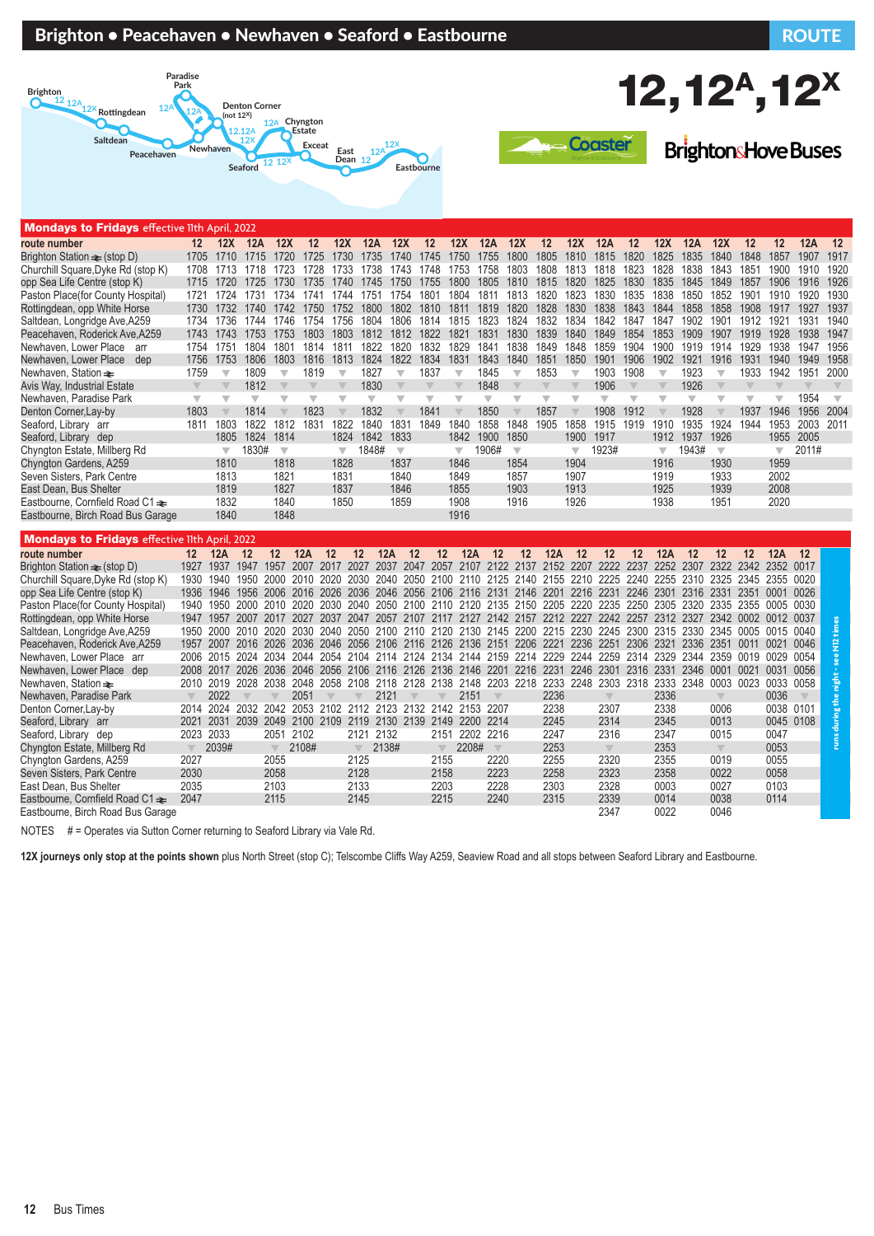### Brighton • Peacehaven • Newhaven • Seaford • Eastbourne Route Route Route Route





**BrightonsHove Buses** 

**12,12<sup>A</sup>,12<sup>X</sup>** 

| <b>HOHMATO to Finally Scheeling Hull A</b>           |                         | ,,,,,,,,,,              |                         |                         |                         |                         |                         |      |                         |                                         |                          |                         |                         |                         |                                                                                                     |                         |                         |                         |                         |                          |                         |                         |                         |                         |
|------------------------------------------------------|-------------------------|-------------------------|-------------------------|-------------------------|-------------------------|-------------------------|-------------------------|------|-------------------------|-----------------------------------------|--------------------------|-------------------------|-------------------------|-------------------------|-----------------------------------------------------------------------------------------------------|-------------------------|-------------------------|-------------------------|-------------------------|--------------------------|-------------------------|-------------------------|-------------------------|-------------------------|
| route number                                         | 12                      | 12X                     | 12A                     | 12X                     | 12                      | 12X                     | 12A                     |      | 12X                     | $12 \,$                                 | 12X                      | 12A                     | 12X                     | $12 \,$                 | 12X                                                                                                 | 12A                     | 12                      | 12X                     | 12A                     | 12X                      | 12                      | 12                      | 12A                     | 12                      |
| Brighton Station $\equiv$ (stop D)                   | 1705                    | 1710                    | 1715                    | 1720                    | 1725                    | 1730                    | 1735                    |      | 1740                    | 1745                                    | 1750                     | 1755                    | 1800                    | 1805                    | 1810                                                                                                | 1815                    | 1820                    | 1825                    | 1835                    | 1840                     | 1848                    | 1857                    | 1907                    | 1917                    |
| Churchill Square, Dyke Rd (stop K)                   | 1708                    | 1713                    | 1718                    | 1723                    | 1728                    | 1733                    | 1738                    |      | 1743                    | 1748                                    | 1753                     | 1758                    | 1803                    | 1808 1813               |                                                                                                     | 1818                    | 1823                    | 1828                    | 1838                    | 1843                     | 1851                    | 1900                    | 1910                    | 1920                    |
| opp Sea Life Centre (stop K)                         |                         | 1715 1720               | 1725                    |                         | 1730 1735 1740          |                         | 1745                    |      | 1750 1755               |                                         | 1800 1805                |                         | 1810                    | 1815 1820               |                                                                                                     | 1825                    | 1830                    | 1835                    | 1845                    | 1849                     | 1857                    | 1906                    | 1916                    | 1926                    |
| Paston Place(for County Hospital)                    | 1721                    | 1724                    | 1731                    | 1734                    | 1741                    | 1744                    | 1751                    |      | 1754                    | 1801                                    | 1804                     | 1811                    | 1813                    | 1820                    | 1823                                                                                                | 1830                    | 1835                    | 1838                    | 1850                    | 1852                     | 1901                    |                         | 1910 1920               | 1930                    |
| Rottingdean, opp White Horse                         |                         | 1730 1732               |                         | 1740 1742               |                         | 1750 1752               | 1800                    |      | 1802                    | 1810                                    | 1811                     | 1819                    | 1820                    | 1828                    | 1830                                                                                                | 1838                    | 1843                    | 1844                    | 1858                    | 1858                     | 1908                    | 1917                    | 1927                    | 1937                    |
| Saltdean, Longridge Ave, A259                        | 1734                    | 1736                    | 1744                    | 1746                    | 1754                    | 1756                    | 1804                    |      | 1806                    | 1814                                    | 1815                     | 1823                    | 1824                    | 1832                    | 1834                                                                                                | 1842                    | 1847                    | 1847                    | 1902                    | 1901                     | 1912                    | 1921                    | 1931                    | 1940                    |
| Peacehaven, Roderick Ave, A259                       | 1743                    | 1743                    | 1753                    | 1753                    | 1803                    | 1803                    | 1812                    |      | 1812                    | 1822                                    | 1821                     | 1831                    | 1830                    | 1839                    | 1840                                                                                                | 1849                    | 1854                    | 1853                    | 1909                    | 1907                     | 1919                    | 1928                    | 1938                    | 1947                    |
| Newhaven, Lower Place<br>arr                         | 1754                    | 1751                    | 1804                    | 1801                    | 1814                    | 1811                    | 1822                    |      | 1820                    | 1832                                    | 1829                     | 1841                    | 1838                    | 1849                    | 1848                                                                                                | 1859                    | 1904                    | 1900                    | 1919                    | 1914                     | 1929                    | 1938                    | 1947                    | 1956                    |
| Newhaven, Lower Place<br>dep                         | 1756                    | 1753                    | 1806                    | 1803                    | 1816                    | 1813                    | 1824                    |      | 1822                    | 1834                                    | 1831                     | 1843                    | 1840                    | 1851                    | 1850                                                                                                | 1901                    | 1906                    | 1902                    | 1921                    | 1916                     | 1931                    | 1940                    | 1949                    | 1958                    |
| Newhaven, Station $\equiv$                           | 1759                    | $\overline{\mathbf{v}}$ | 1809                    | $\overline{\mathbf{v}}$ | 1819                    | $\overline{\mathbb{V}}$ | 1827                    |      | $\overline{\mathbb{V}}$ | 1837                                    | $\overline{\mathbb{V}}$  | 1845                    | $\overline{\mathbb{V}}$ | 1853                    | $\overline{\mathbb{V}}$                                                                             | 1903                    | 1908                    | $\overline{\mathbf{v}}$ | 1923                    | $\overline{\mathbb{V}}$  | 1933                    | 1942                    | 1951                    | 2000                    |
| Avis Way, Industrial Estate                          |                         | $\overline{\mathbb{V}}$ | 1812                    |                         | $\overline{\mathbf{v}}$ |                         | 1830                    |      | $\overline{\mathbb{V}}$ |                                         | $\overline{\mathbb{V}}$  | 1848                    |                         | $\overline{\mathbb{V}}$ |                                                                                                     | 1906                    |                         |                         | 1926                    |                          |                         |                         | $\overline{\mathbb{V}}$ | $\overline{\mathbb{V}}$ |
| Newhaven, Paradise Park                              | $\overline{\mathbb{V}}$ | $\overline{\mathbb{V}}$ | $\overline{\mathbb{V}}$ | ▼                       | $\overline{\mathbf{v}}$ | $\overline{\mathbb{V}}$ | $\overline{\mathbf{v}}$ |      | ▼                       | $\overline{\mathbf{v}}$                 | $\overline{\mathbf{v}}$  | $\overline{\mathbb{V}}$ | $\overline{\mathbf{v}}$ | $\overline{\mathbf{v}}$ | $\overline{\mathbb{V}}$                                                                             | $\overline{\mathbf{v}}$ | $\overline{\mathbb{V}}$ | ▼                       | $\overline{\mathbf{v}}$ | $\overline{\phantom{a}}$ | $\overline{\mathbb{V}}$ | $\overline{\mathbb{V}}$ | 1954                    | $\overline{\mathbf{v}}$ |
| Denton Corner, Lay-by                                | 1803                    | $\overline{\mathbb{V}}$ | 1814                    |                         | 1823                    | $\overline{\mathbf{v}}$ | 1832                    |      | $\overline{\mathbb{V}}$ | 1841                                    | $\overline{\phantom{a}}$ | 1850                    |                         | 1857                    | $\overline{\mathbf{v}}$                                                                             | 1908                    | 1912                    |                         | 1928                    | $\overline{\phantom{a}}$ | 1937                    | 1946                    | 1956                    | 2004                    |
| Seaford, Library arr                                 | 1811                    | 1803                    | 1822                    | 1812                    | 1831                    | 1822                    | 1840                    |      | 1831                    | 1849                                    | 1840                     | 1858                    | 1848                    | 1905                    | 1858                                                                                                | 1915                    | 1919                    | 1910                    | 1935                    | 1924                     | 1944                    | 1953                    | 2003                    | 2011                    |
| Seaford, Library dep                                 |                         | 1805                    | 1824                    | 1814                    |                         | 1824                    | 1842                    |      | 1833                    |                                         | 1842                     | 1900                    | 1850                    |                         | 1900                                                                                                | 1917                    |                         | 1912                    | 1937                    | 1926                     |                         | 1955                    | 2005                    |                         |
| Chyngton Estate, Millberg Rd                         |                         | $\overline{\mathbf{v}}$ | 1830#                   | $\overline{\mathbf{v}}$ |                         | $\overline{\mathbb{V}}$ | 1848#                   |      | $\overline{\mathbf{v}}$ |                                         | $\overline{\mathbf{v}}$  | 1906#                   | $\overline{\mathbf{v}}$ |                         | $\overline{\mathbb{V}}$                                                                             | 1923#                   |                         | $\overline{\mathbf{v}}$ | 1943#                   | $\overline{\mathbf{v}}$  |                         | $\overline{\mathbf{v}}$ | 2011#                   |                         |
| Chyngton Gardens, A259                               |                         | 1810                    |                         | 1818                    |                         | 1828                    |                         |      | 1837                    |                                         | 1846                     |                         | 1854                    |                         | 1904                                                                                                |                         |                         | 1916                    |                         | 1930                     |                         | 1959                    |                         |                         |
| Seven Sisters, Park Centre                           |                         | 1813                    |                         | 1821                    |                         | 1831                    |                         |      | 1840                    |                                         | 1849                     |                         | 1857                    |                         | 1907                                                                                                |                         |                         | 1919                    |                         | 1933                     |                         | 2002                    |                         |                         |
| East Dean, Bus Shelter                               |                         | 1819                    |                         | 1827                    |                         | 1837                    |                         |      | 1846                    |                                         | 1855                     |                         | 1903                    |                         | 1913                                                                                                |                         |                         | 1925                    |                         | 1939                     |                         | 2008                    |                         |                         |
| Eastbourne, Cornfield Road C1 $\triangleq$           |                         | 1832                    |                         | 1840                    |                         | 1850                    |                         |      | 1859                    |                                         | 1908                     |                         | 1916                    |                         | 1926                                                                                                |                         |                         | 1938                    |                         | 1951                     |                         | 2020                    |                         |                         |
| Eastbourne, Birch Road Bus Garage                    |                         | 1840                    |                         | 1848                    |                         |                         |                         |      |                         |                                         | 1916                     |                         |                         |                         |                                                                                                     |                         |                         |                         |                         |                          |                         |                         |                         |                         |
|                                                      |                         |                         |                         |                         |                         |                         |                         |      |                         |                                         |                          |                         |                         |                         |                                                                                                     |                         |                         |                         |                         |                          |                         |                         |                         |                         |
| <b>Mondays to Fridays effective lith April, 2022</b> |                         |                         |                         |                         |                         |                         |                         |      |                         |                                         |                          |                         |                         |                         |                                                                                                     |                         |                         |                         |                         |                          |                         |                         |                         |                         |
| route number                                         | 12                      | 12A                     | 12                      | 12                      | 12A                     | 12                      | 12                      | 12A  | 12                      | 12                                      | 12A                      | 12                      | 12                      | 12A                     | 12                                                                                                  | 12                      | 12                      | 12A                     | 12                      | 12                       | 12                      | 12A                     | 12                      |                         |
| Brighton Station $\equiv$ (stop D)                   | 1927                    | 1937                    | 1947                    | 1957                    |                         |                         |                         |      |                         |                                         |                          |                         |                         |                         | 2007 2017 2027 2037 2047 2057 2107 2122 2137 2152 2207 2222 2237 2252 2307 2322 2342 2352           |                         |                         |                         |                         |                          |                         |                         | 0017                    |                         |
| Churchill Square, Dyke Rd (stop K)                   | 1930                    | 1940                    |                         |                         | 1950 2000 2010 2020     |                         |                         |      |                         |                                         |                          |                         |                         |                         | 2030 2040 2050 2100 2110 2125 2140 2155 2210 2225 2240 2255 2310 2325 2345 2355                     |                         |                         |                         |                         |                          |                         |                         | 0020                    |                         |
| opp Sea Life Centre (stop K)                         | 1936                    | 1946                    |                         |                         |                         |                         |                         |      |                         |                                         |                          |                         |                         |                         | 1956 2006 2016 2026 2036 2046 2056 2106 2116 2131 2146 2201 2216 2231 2246 2301 2316 2331 2351 0001 |                         |                         |                         |                         |                          |                         |                         | 0026                    |                         |
| Paston Place(for County Hospital)                    | 1940                    | 1950 2000 2010 2020     |                         |                         |                         |                         |                         |      |                         |                                         |                          |                         |                         |                         | 2030 2040 2050 2100 2110 2120 2135 2150 2205 2220 2235 2250 2305 2320                               |                         |                         |                         |                         | 2335 2355                |                         | 0005                    | 0030                    |                         |
| Rottingdean, opp White Horse                         | 1947                    | 1957                    | 2007                    |                         | 2017 2027               | 2037 2047               |                         |      |                         |                                         |                          |                         |                         |                         | 2057 2107 2117 2127 2142 2157 2212 2227                                                             | 2242                    | 2257                    |                         | 2312 2327               |                          | 2342 0002 0012 0037     |                         |                         |                         |
| Saltdean, Longridge Ave, A259                        | 1950                    | 2000                    | 2010                    | 2020                    | 2030                    | 2040                    |                         |      |                         |                                         |                          |                         |                         |                         | 2050 2100 2110 2120 2130 2145 2200 2215 2230 2245                                                   |                         | 2300                    | 2315 2330               |                         | 2345                     | 0005                    | 0015                    | 0040                    |                         |
| Peacehaven, Roderick Ave, A259                       | 1957                    | 2007                    |                         |                         |                         |                         |                         |      |                         |                                         |                          |                         |                         |                         | 2016 2026 2036 2046 2056 2106 2116 2126 2136 2151 2206 2221 2236 2251                               |                         | 2306 2321               |                         | 2336                    | 2351                     | 0011                    | 0021                    | 0046                    |                         |
| Newhaven, Lower Place arr                            | 2006                    |                         |                         |                         |                         |                         |                         |      |                         |                                         |                          |                         |                         |                         | 2015 2024 2034 2044 2054 2104 2114 2124 2134 2144 2159 2214 2229 2244 2259 2314 2329                |                         |                         |                         | 2344                    | 2359                     | 0019                    | 0029                    | 0054                    |                         |
| Newhaven, Lower Place dep                            | 2008                    |                         |                         |                         |                         |                         |                         |      |                         |                                         |                          |                         |                         |                         | 2017 2026 2036 2046 2056 2106 2116 2126 2136 2146 2201 2216 2231 2246 2301 2316 2331                |                         |                         |                         |                         | 2346 0001 0021           |                         | 0031                    | 0056                    |                         |
| Newhaven, Station <del>≥</del>                       | 2010                    |                         |                         |                         |                         |                         |                         |      |                         |                                         |                          |                         |                         |                         | 2019 2028 2038 2048 2058 2108 2118 2128 2138 2148 2203 2218 2233 2248 2303 2318 2333 2348           |                         |                         |                         |                         | 0003 0023                |                         | 0033                    | 0058                    |                         |
| Newhaven, Paradise Park                              |                         | 2022                    |                         |                         | 2051                    |                         |                         | 2121 |                         |                                         | 2151                     |                         |                         | 2236                    |                                                                                                     |                         |                         | 2336                    |                         |                          |                         | 0036                    |                         |                         |
| Denton Corner, Lay-by                                | 2014                    | 2024                    | 2032                    | 2042                    |                         |                         |                         |      |                         | 2053 2102 2112 2123 2132 2142 2153 2207 |                          |                         |                         | 2238                    |                                                                                                     | 2307                    |                         | 2338                    |                         | 0006                     |                         | 0038 0101               |                         |                         |
| Seaford, Library arr                                 | 2021                    | 2031                    | 2039                    | 2049                    | 2100                    |                         |                         |      |                         | 2109 2119 2130 2139 2149                | 2200                     | 2214                    |                         | 2245                    |                                                                                                     | 2314                    |                         | 2345                    |                         | 0013                     |                         | 0045 0108               |                         |                         |
| Seaford, Library dep                                 | 2023 2033               |                         |                         | 2051                    | 2102                    |                         | 2121 2132               |      |                         | 2151                                    |                          | 2202 2216               |                         | 2247                    |                                                                                                     | 2316                    |                         | 2347                    |                         | 0015                     |                         | 0047                    |                         |                         |
| Chyngton Estate Millherg Rd                          |                         | 2030#                   |                         |                         | $\sqrt{2108\text{Hz}}$  |                         | $7138\text{H}$          |      |                         | $\sim$                                  | $2208\text{H}$           |                         |                         | 2253                    |                                                                                                     | $\sqrt{2}$              |                         | 2353                    |                         | $\sqrt{2}$               |                         | <b>NU53</b>             |                         |                         |

Seaford, Library dep 2023 2033 2051 2102 2121 2132 2151 2202 2216 2247 2316 2347 0015 0047 Chyngton Estate, Millberg Rd t 2039# t 2108# 2138# 2208# 2253 2353 2353 0053<br>Chyngton Gardens, A259 2027 2027 2055 2125 2155 2220 2255 2320 2355 0019 0055 Chyngton Gardens, A259 2027 2055 2125 2155 2220 2255 2320 2355 0019 0055 Seven Sisters, Park Centre 2030 2058 2128 2158 2223 2258 2323 2358 0022 0058 East Dean, Bus Shelter 2035 2103 2133 2203 2228 2303 2328 0003 0027 0103

NOTES # = Operates via Sutton Corner returning to Seaford Library via Vale Rd.

Eastbourne, Birch Road Bus Garage

ndays to Fridays

**12X journeys only stop at the points shown** plus North Street (stop C); Telscombe Cliffs Way A259, Seaview Road and all stops between Seaford Library and Eastbourne.

Eastbourne, Cornfield Road C1⇒ 2047 2115 2145 2215 2240 2315 2339 0014 0038<br>Eastbourne, Birch Road Bus Garage 2046 2115 2145 2215 2240 2315 2347 0022 0046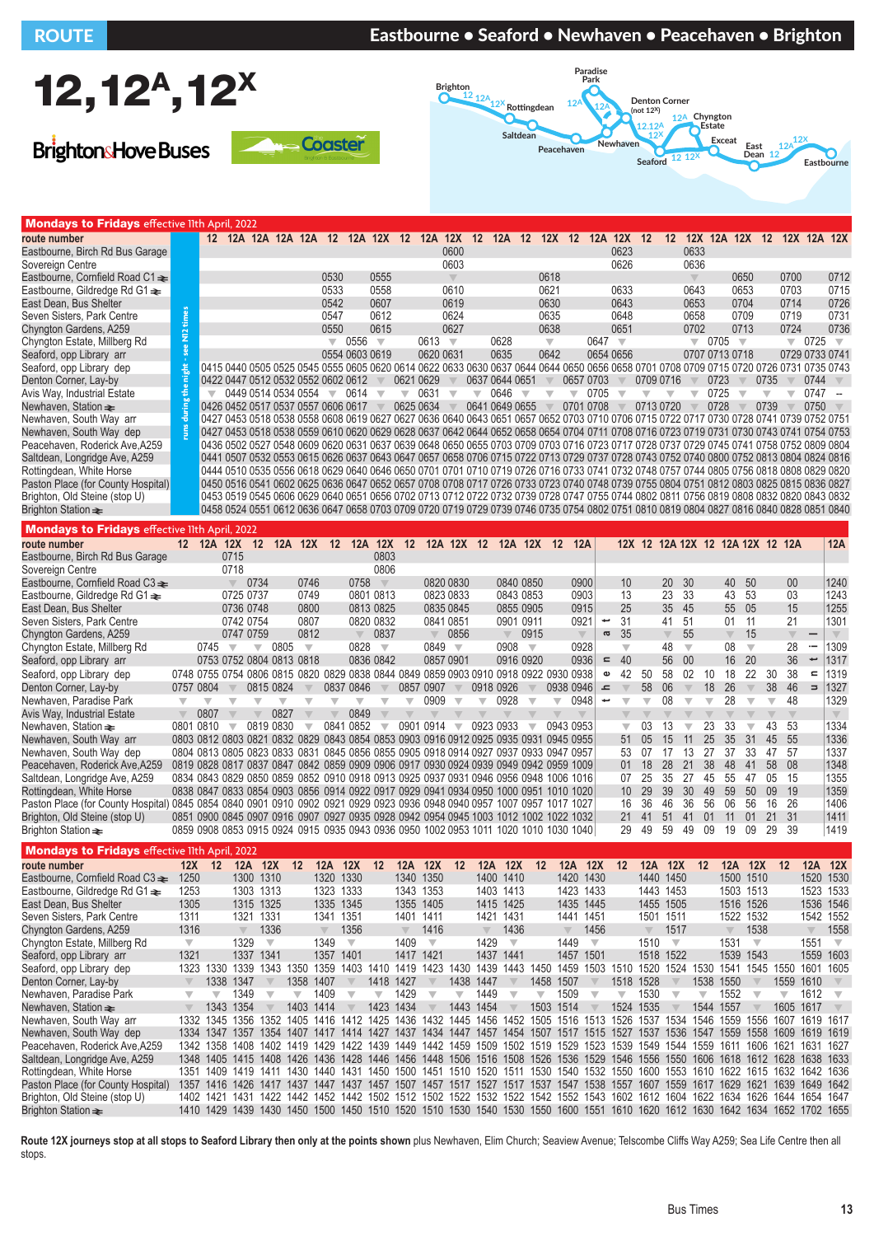### ROUTE **Eastbourne • Seaford • Newhaven • Peacehaven • Brighton**



**BrightonsHove Buses** 





| <b>Mondays to Fridays effective llth April, 2022</b> |    |                          |                                                                                                                                                                            |  |                                          |                          |                   |           |                          |           |                         |                          |                |                         |           |                         |           |                          |                            |                         |      |                         |                |                          |
|------------------------------------------------------|----|--------------------------|----------------------------------------------------------------------------------------------------------------------------------------------------------------------------|--|------------------------------------------|--------------------------|-------------------|-----------|--------------------------|-----------|-------------------------|--------------------------|----------------|-------------------------|-----------|-------------------------|-----------|--------------------------|----------------------------|-------------------------|------|-------------------------|----------------|--------------------------|
| route number                                         |    | 12                       |                                                                                                                                                                            |  | 12A 12A 12A 12A 12 12A 12X 12 12A 12X 12 |                          |                   |           |                          |           |                         |                          |                | 12A 12 12X 12           |           | 12A 12X 12              | 12        |                          | 12X 12A 12X 12 12X 12A 12X |                         |      |                         |                |                          |
| Eastbourne, Birch Rd Bus Garage                      |    |                          |                                                                                                                                                                            |  |                                          |                          |                   |           |                          |           | 0600                    |                          |                |                         |           | 0623                    |           | 0633                     |                            |                         |      |                         |                |                          |
| Sovereign Centre                                     |    |                          |                                                                                                                                                                            |  |                                          |                          |                   |           |                          |           | 0603                    |                          |                |                         |           | 0626                    |           | 0636                     |                            |                         |      |                         |                |                          |
| Eastbourne, Cornfield Road C1 ≥                      |    |                          |                                                                                                                                                                            |  |                                          | 0530                     |                   | 0555      |                          |           | $\overline{\mathbb{V}}$ |                          |                | 0618                    |           |                         |           |                          |                            | 0650                    |      | 0700                    |                | 0712                     |
| Eastbourne, Gildredge Rd G1 $\triangleq$             |    |                          |                                                                                                                                                                            |  |                                          | 0533                     |                   | 0558      |                          |           | 0610                    |                          |                | 0621                    |           | 0633                    |           | 0643                     |                            | 0653                    |      | 0703                    |                | 0715                     |
| East Dean, Bus Shelter                               |    |                          |                                                                                                                                                                            |  |                                          | 0542                     |                   | 0607      |                          |           | 0619                    |                          |                | 0630                    |           | 0643                    |           | 0653                     |                            | 0704                    |      | 0714                    |                | 0726                     |
| Seven Sisters, Park Centre                           |    |                          |                                                                                                                                                                            |  |                                          | 0547                     |                   | 0612      |                          |           | 0624                    |                          |                | 0635                    |           | 0648                    |           | 0658                     |                            | 0709                    |      | 0719                    |                | 0731                     |
| Chyngton Gardens, A259                               | Ë, |                          |                                                                                                                                                                            |  |                                          | 0550                     |                   | 0615      |                          |           | 0627                    |                          |                | 0638                    |           | 0651                    |           | 0702                     |                            | 0713                    |      | 0724                    |                | 0736                     |
| Chyngton Estate, Millberg Rd                         |    |                          |                                                                                                                                                                            |  |                                          | $\overline{\phantom{a}}$ | 0556              | $\sqrt{}$ |                          | 0613      | $\overline{\mathbf{v}}$ |                          | 0628           | $\overline{\mathbf{v}}$ | 0647      | $\overline{\mathbf{v}}$ |           | $\overline{\phantom{0}}$ | 0705                       | $\overline{\mathbf{v}}$ |      | $\overline{\mathbb{V}}$ | 0725           | $\overline{\phantom{a}}$ |
| Seaford, opp Library arr                             |    |                          |                                                                                                                                                                            |  |                                          |                          | 0554 0603 0619    |           |                          | 0620 0631 |                         |                          | 0635           | 0642                    | 0654 0656 |                         |           |                          | 0707 0713 0718             |                         |      |                         | 0729 0733 0741 |                          |
| Seaford, opp Library dep                             |    |                          | 0415 0440 0505 0525 0545 0555 0605 0620 0614 0622 0633 0630 0637 0644 0644 0650 0656 0658 0701 0708 0709 0715 0720 0726 0731 0735 0743 0743                                |  |                                          |                          |                   |           |                          |           |                         |                          |                |                         |           |                         |           |                          |                            |                         |      |                         |                |                          |
| Denton Corner, Lay-by                                |    |                          | 0422 0447 0512 0532 0552 0602 0612                                                                                                                                         |  |                                          |                          |                   |           |                          | 0621 0629 |                         |                          | 0637 0644 0651 |                         | 0657 0703 |                         | 0709 0716 |                          | 0723                       |                         | 0735 |                         | 0744           |                          |
| Avis Way, Industrial Estate                          |    | $\overline{\phantom{a}}$ |                                                                                                                                                                            |  | 0449 0514 0534 0554                      | $\overline{\phantom{a}}$ | $0614$ $\sqrt{ }$ |           | $\overline{\phantom{a}}$ | 0631      |                         | $\overline{\phantom{a}}$ | 0646           |                         | 0705      |                         |           |                          | 0725                       |                         |      |                         | 0747           |                          |
| Newhaven, Station $\rightleftharpoons$               |    |                          | 0426 0452 0517 0537 0557 0606 0617                                                                                                                                         |  |                                          |                          |                   |           |                          | 0625 0634 |                         |                          | 0641 0649 0655 |                         | 0701 0708 |                         | 0713 0720 |                          | 0728                       |                         | 0739 |                         | 0750           |                          |
| Newhaven, South Way arr                              |    |                          | 0427 0453 0518 0538 0558 0608 0619 0627 0627 0636 0640 0643 0651 0657 0652 0703 0710 0706 0715 0722 0717 0730 0728 0741 0739 0752 0751                                     |  |                                          |                          |                   |           |                          |           |                         |                          |                |                         |           |                         |           |                          |                            |                         |      |                         |                |                          |
| Newhaven, South Way dep                              |    |                          | 0427 0453 0518 0538 0559 0610 0620 0629 0628 0637 0642 0644 0652 0658 0654 0704 0711 0708 0716 0723 0719 0731 0730 0743 0741 0754 0753                                     |  |                                          |                          |                   |           |                          |           |                         |                          |                |                         |           |                         |           |                          |                            |                         |      |                         |                |                          |
| Peacehaven, Roderick Ave, A259                       |    |                          | 0436 0502 0527 0548 0609 0620 0631 0637 0639 0648 0650 0655 0703 0709 0703 0716 0723 0717 0728 0737 0729 0745 0741 0758 0752 0809 0804                                     |  |                                          |                          |                   |           |                          |           |                         |                          |                |                         |           |                         |           |                          |                            |                         |      |                         |                |                          |
| Saltdean, Longridge Ave, A259                        |    |                          | 0441 0507 0532 0553 0615 0626 0637 0643 0647 0657 0658 0706 0715 0722 0713 0729 0737 0728 0743 0752 0740 0800 0752 0813 0804 0824 0816                                     |  |                                          |                          |                   |           |                          |           |                         |                          |                |                         |           |                         |           |                          |                            |                         |      |                         |                |                          |
| Rottingdean, White Horse                             |    |                          | 0444 0510 0535 0556 0618 0629 0640 0646 0650 0701 0701 0710 0719 0726 0716 0733 0741 0732 0748 0757 0744 0805 0756 0818 0808 0829 0820 ا0444 0505 0756 0818 0808 0829 0820 |  |                                          |                          |                   |           |                          |           |                         |                          |                |                         |           |                         |           |                          |                            |                         |      |                         |                |                          |
| Paston Place (for County Hospital)                   |    |                          | 0450 0516 0541 0602 0625 0636 0647 0652 0657 0708 0708 0717 0726 0733 0723 0740 0748 0739 0755 0804 0751 0812 0803 0825 0815 0836 0827                                     |  |                                          |                          |                   |           |                          |           |                         |                          |                |                         |           |                         |           |                          |                            |                         |      |                         |                |                          |
| Brighton, Old Steine (stop U)                        |    |                          | 0453 0519 0545 0606 0629 0640 0651 0656 0702 0713 0712 0722 0732 0739 0728 0747 0755 0744 0802 0811 0756 0819 0808 0832 0820 0843 0832                                     |  |                                          |                          |                   |           |                          |           |                         |                          |                |                         |           |                         |           |                          |                            |                         |      |                         |                |                          |
| Brighton Station $\equiv$                            |    |                          | 0458 0524 0551 0612 0636 0647 0658 0703 0709 0720 0719 0729 0739 0746 0735 0754 0802 0751 0810 0819 0804 0827 0816 0840 0828 0851 0840                                     |  |                                          |                          |                   |           |                          |           |                         |                          |                |                         |           |                         |           |                          |                            |                         |      |                         |                |                          |
| <b>Mondays to Fridays effective llth April, 2022</b> |    |                          |                                                                                                                                                                            |  |                                          |                          |                   |           |                          |           |                         |                          |                |                         |           |                         |           |                          |                            |                         |      |                         |                |                          |

| <b>MURDINGLYS TO FINATES</b> enective http://dx.cozz |                         |           |                         |                         |                          |                                                                                      |                         |                         |                         |                         |                         |                          |                         |                         |                         |                         |                                  |                |                         |                                  |                         |                         |                         |                         |                         |                         |                         |                         |                         |
|------------------------------------------------------|-------------------------|-----------|-------------------------|-------------------------|--------------------------|--------------------------------------------------------------------------------------|-------------------------|-------------------------|-------------------------|-------------------------|-------------------------|--------------------------|-------------------------|-------------------------|-------------------------|-------------------------|----------------------------------|----------------|-------------------------|----------------------------------|-------------------------|-------------------------|-------------------------|-------------------------|-------------------------|-------------------------|-------------------------|-------------------------|-------------------------|
| route number                                         |                         |           |                         |                         |                          | 12 12A 12X 12 12A 12X 12 12A 12X 12 12A 12X 12 12A 12X 12 12A                        |                         |                         |                         |                         |                         |                          |                         |                         |                         |                         |                                  |                |                         | 12X 12 12A 12X 12 12A 12X 12 12A |                         |                         |                         |                         |                         |                         |                         |                         | 12A                     |
| Eastbourne, Birch Rd Bus Garage                      |                         |           | 0715                    |                         |                          |                                                                                      |                         |                         | 0803                    |                         |                         |                          |                         |                         |                         |                         |                                  |                |                         |                                  |                         |                         |                         |                         |                         |                         |                         |                         |                         |
| Sovereign Centre                                     |                         |           | 0718                    |                         |                          |                                                                                      |                         |                         | 0806                    |                         |                         |                          |                         |                         |                         |                         |                                  |                |                         |                                  |                         |                         |                         |                         |                         |                         |                         |                         |                         |
| Eastbourne, Cornfield Road C3 <del>≥</del>           |                         |           | $\overline{\mathbb{V}}$ | 0734                    |                          | 0746                                                                                 |                         | 0758                    | $\overline{\mathbb{V}}$ |                         |                         | 0820 0830                |                         | 0840 0850               |                         |                         | 0900                             |                | 10                      |                                  | 20                      | 30                      |                         | 40                      | 50                      |                         | 00                      |                         | 1240                    |
| Eastbourne, Gildredge Rd G1 $\triangle$              |                         |           | 0725 0737               |                         |                          | 0749                                                                                 |                         |                         | 0801 0813               |                         |                         | 0823 0833                |                         | 0843 0853               |                         |                         | 0903                             |                | 13                      |                                  | 23                      | 33                      |                         | 43                      | 53                      |                         | 03                      |                         | 1243                    |
| East Dean, Bus Shelter                               |                         |           | 0736 0748               |                         |                          | 0800                                                                                 |                         |                         | 0813 0825               |                         |                         | 0835 0845                |                         | 0855 0905               |                         |                         | 0915                             |                | 25                      |                                  | 35                      | 45                      |                         | 55                      | 05                      |                         | 15                      |                         | 1255                    |
| Seven Sisters, Park Centre                           |                         |           | 0742 0754               |                         |                          | 0807                                                                                 |                         |                         | 0820 0832               |                         |                         | 0841 0851                |                         | 0901 0911               |                         |                         | 0921                             |                | 31                      |                                  | 41                      | 51                      |                         | 01                      | 11                      |                         | 21                      |                         | 1301                    |
| Chyngton Gardens, A259                               |                         |           |                         | 0747 0759               |                          | 0812                                                                                 |                         |                         | 0837                    |                         | $\overline{\mathbb{V}}$ | 0856                     |                         | $\overline{\mathbb{V}}$ | 0915                    |                         | $\overline{\mathbb{V}}$          | a              | 35                      |                                  | $\overline{\mathbb{V}}$ | 55                      |                         | $\overline{\mathbb{V}}$ | 15                      |                         | $\overline{\mathbb{V}}$ | -                       | $\overline{\mathbb{V}}$ |
| Chyngton Estate, Millberg Rd                         |                         | 0745      | $\overline{\mathbf{v}}$ | $\overline{\mathbb{V}}$ | 0805                     | $\overline{\mathbf{v}}$                                                              |                         | 0828                    | $\overline{\mathbf{v}}$ |                         | 0849                    | $\overline{\phantom{a}}$ |                         | 0908                    | $\overline{\mathbf{v}}$ |                         | 0928                             |                | $\overline{\mathbf{v}}$ |                                  | 48                      | $\overline{\mathbf{v}}$ |                         | 08                      | $\overline{\mathbf{v}}$ |                         | 28                      | ÷                       | 1309                    |
| Seaford, opp Library arr                             |                         |           |                         |                         |                          | 0753 0752 0804 0813 0818                                                             |                         |                         | 0836 0842               |                         | 0857 0901               |                          |                         | 0916 0920               |                         |                         | 0936                             | $\blacksquare$ | 40                      |                                  | 56                      | 00                      |                         | 16                      | 20                      |                         | 36                      | پ                       | 1317                    |
| Seaford, opp Library dep                             |                         |           |                         |                         |                          | 0748 0755 0754 0806 0815 0820 0829 0838 0844 0849 0859 0903 0910 0918 0922 0930 0938 |                         |                         |                         |                         |                         |                          |                         |                         |                         |                         |                                  | $\bullet$      | 42                      | 50                               | 58                      | 02                      | 10                      | 18                      | 22                      | 30                      | 38                      | $\epsilon$              | 1319                    |
| Denton Corner, Lay-by                                | 0757 0804               |           |                         |                         | 0815 0824                |                                                                                      |                         | 0837 0846               |                         |                         | 0857 0907               |                          |                         | 0918 0926               |                         |                         | 0938 0946                        | ᅩ              |                         | 58                               | 06                      | $\overline{\mathbb{V}}$ | 18                      | 26                      |                         | 38                      | 46                      | $\Rightarrow$           | 1327                    |
| Newhaven, Paradise Park                              |                         |           | ▼                       | $\overline{\mathbb{V}}$ | $\overline{\mathbb{V}}$  |                                                                                      | ₩                       | ₩                       | $\overline{\mathbf{v}}$ | v                       | 0909                    | $\overline{\phantom{a}}$ | $\overline{\mathbf{v}}$ | 0928                    | $\overline{\mathbf{v}}$ | $\overline{\mathbb{V}}$ | 0948                             | t              | $\overline{\mathbf{v}}$ | v                                | 08                      | $\overline{\mathbf{v}}$ | ▼                       | 28                      | $\overline{\mathbb{V}}$ | v                       | 48                      |                         | 1329                    |
| Avis Way, Industrial Estate                          |                         | 0807      |                         |                         | 0827                     |                                                                                      |                         | 0849                    |                         |                         |                         |                          |                         |                         |                         |                         |                                  |                | $\overline{\mathbb{V}}$ |                                  |                         |                         |                         |                         |                         |                         | $\sqrt{}$               |                         | $\overline{\mathbb{V}}$ |
| Newhaven, Station $\equiv$                           |                         | 0801 0810 | $\overline{\mathbf{v}}$ | 0819 0830               |                          |                                                                                      |                         | 0841 0852               | $\overline{\mathbf{v}}$ |                         | 0901 0914               | $\overline{\phantom{a}}$ |                         | 0923 0933               | $\overline{\mathbb{V}}$ |                         | 0943 0953                        |                | $\overline{\mathbb{V}}$ | 03                               | 13                      |                         | 23                      | 33                      | $\overline{\mathbf{v}}$ | 43                      | 53                      |                         | 1334                    |
| Newhaven, South Way arr                              |                         |           |                         |                         |                          | 0803 0812 0803 0821 0832 0829 0843 0854 0853 0903 0916 0912 0925 0935 0931 0945 0955 |                         |                         |                         |                         |                         |                          |                         |                         |                         |                         |                                  |                | 51                      | 0 <sub>5</sub>                   | 15                      | 11                      | 25                      | 35                      | 31                      | 45                      | 55                      |                         | 1336                    |
| Newhaven, South Way dep                              |                         |           |                         |                         |                          | 0804 0813 0805 0823 0833 0831 0845 0856 0855 0905 0918 0914 0927 0937 0933 0947 0957 |                         |                         |                         |                         |                         |                          |                         |                         |                         |                         |                                  |                | 53                      | 07                               |                         | 13                      | 27                      | 37                      | 33                      | 47                      | 57                      |                         | 1337                    |
| Peacehaven, Roderick Ave, A259                       |                         |           |                         |                         |                          | 0819 0828 0817 0837 0847 0842 0859 0909 0906 0917 0930 0924 0939 0949 0942 0959 1009 |                         |                         |                         |                         |                         |                          |                         |                         |                         |                         |                                  |                | 01                      | 18                               | 28                      | 21                      | 38                      | 48                      | 41                      | 58                      | 08                      |                         | 1348                    |
| Saltdean, Longridge Ave, A259                        |                         |           |                         |                         |                          | 0834 0843 0829 0850 0859 0852 0910 0918 0913 0925 0937 0931 0946 0956 0948 1006 1016 |                         |                         |                         |                         |                         |                          |                         |                         |                         |                         |                                  |                | 07                      | 25                               | 35                      | 27                      | 45                      | 55                      | 47                      | 05                      | 15                      |                         | 1355                    |
| Rottingdean, White Horse                             |                         |           |                         |                         |                          | 0838 0847 0833 0854 0903 0856 0914 0922 0917 0929 0941 0934 0950 1000 0951 1010 1020 |                         |                         |                         |                         |                         |                          |                         |                         |                         |                         |                                  |                | 10                      | 29                               | 39                      | 30                      | 49                      | 59                      | 50                      | 09                      | 19                      |                         | 1359                    |
| Paston Place (for County Hospital                    |                         |           |                         |                         |                          | 0845 0854 0840 0901 0910 0902 0921 0929 0923 0936 0948 0940 0957 1007 0957 1017 1027 |                         |                         |                         |                         |                         |                          |                         |                         |                         |                         |                                  |                | 16                      | 36                               | 46                      | 36                      | 56                      | 06                      | 56                      | 16                      | 26                      |                         | 1406                    |
| Brighton, Old Steine (stop U)                        |                         |           |                         |                         |                          | 0851 0900 0845 0907 0916 0907 0927 0935 0928 0942 0954 0945 1003 1012 1002 1022 1032 |                         |                         |                         |                         |                         |                          |                         |                         |                         |                         |                                  |                | 21                      | 41                               | 51                      | 41                      | 01                      | 11                      | 01                      | 21                      | 31                      |                         | 1411                    |
| Brighton Station $\equiv$                            |                         |           |                         |                         |                          | 0859 0908 0853 0915 0924 0915 0935 0943 0936 0950 1002 0953 1011 1020 1010 1030 1040 |                         |                         |                         |                         |                         |                          |                         |                         |                         |                         |                                  |                | 29                      | 49                               | 59                      | 49                      | 09                      | 19                      | 09                      | 29                      | 39                      |                         | 1419                    |
| <b>Mondays to Fridays effective llth April, 2022</b> |                         |           |                         |                         |                          |                                                                                      |                         |                         |                         |                         |                         |                          |                         |                         |                         |                         |                                  |                |                         |                                  |                         |                         |                         |                         |                         |                         |                         |                         |                         |
| route number                                         | 12X                     | 12        |                         | 12A 12X                 |                          | 12                                                                                   | 12A                     | 12X                     | 12                      | 12A                     | 12X                     | 12                       | 12A                     | 12X                     | 12                      |                         | 12X<br>12A                       |                | 12                      | 12A                              | 12X                     |                         | 12                      | 12A                     | 12X                     | 12                      |                         | 12A                     | 12X                     |
| Eastbourne, Cornfield Road C3 →                      | 1250                    |           | 1300                    |                         | 1310                     |                                                                                      | 1320 1330               |                         |                         |                         | 1340 1350               |                          |                         | 1400 1410               |                         |                         | 1420 1430                        |                |                         | 1440 1450                        |                         |                         |                         | 1500 1510               |                         |                         |                         |                         | 1520 1530               |
| Eastbourne, Gildredge Rd G1 $\triangle$              | 1253                    |           | 1303                    |                         | 1313                     |                                                                                      | 1323                    | 1333                    |                         | 1343 1353               |                         |                          |                         | 1403 1413               |                         |                         | 1423 1433                        |                |                         | 1443                             | 1453                    |                         |                         | 1503 1513               |                         |                         |                         |                         | 1523 1533               |
| East Dean, Bus Shelter                               | 1305                    |           |                         | 1315 1325               |                          |                                                                                      | 1335 1345               |                         |                         | 1355 1405               |                         |                          |                         | 1415 1425               |                         |                         | 1435 1445                        |                |                         | 1455 1505                        |                         |                         |                         | 1516 1526               |                         |                         |                         |                         | 1536 1546               |
| Seven Sisters, Park Centre                           | 1311                    |           | 1321                    |                         | 1331                     |                                                                                      | 1341                    | 1351                    |                         | 1401 1411               |                         |                          | 1421                    | 1431                    |                         | 1441                    | 1451                             |                |                         | 1501                             | 1511                    |                         |                         | 1522                    | 1532                    |                         |                         |                         | 1542 1552               |
| Chyngton Gardens, A259                               | 1316                    |           | $\overline{\mathbb{V}}$ |                         | 1336                     |                                                                                      | $\overline{\mathbb{V}}$ | 1356                    |                         | $\overline{\mathbb{V}}$ | 1416                    |                          | $\overline{\mathbb{V}}$ | 1436                    |                         | $\overline{\mathbb{V}}$ | 1456                             |                |                         | $\overline{\mathbb{V}}$          | 1517                    |                         |                         |                         | 1538                    |                         |                         | $\overline{\mathbb{V}}$ | 1558                    |
| Chyngton Estate, Millberg Rd                         | $\overline{\mathbf{v}}$ |           | 1329                    |                         | $\overline{\mathbf{v}}$  |                                                                                      | 1349                    | $\overline{\mathbf{v}}$ |                         | 1409                    | $\overline{\mathbf{v}}$ |                          | 1429                    | $\overline{\mathbf{v}}$ |                         | 1449                    | $\overline{\mathbf{v}}$          |                |                         | 1510                             | $\overline{\mathbf{v}}$ |                         |                         | 1531                    | $\overline{\mathbf{v}}$ |                         |                         | 1551                    | $\overline{\mathbf{v}}$ |
| Seaford, opp Library arr                             | 1321                    |           | 1337                    |                         | 1341                     |                                                                                      | 1357                    | 1401                    |                         | 1417 1421               |                         |                          | 1437                    | 1441                    |                         | 1457                    | 1501                             |                |                         | 1518                             | 1522                    |                         |                         | 1539                    | 1543                    |                         |                         |                         | 1559 1603               |
| Seaford, opp Library dep                             | 1323                    | 1330      | 1339                    |                         | 1343                     | 1350                                                                                 | 1359                    | 1403                    | 1410                    | 1419                    | 1423                    | 1430                     | 1439                    | 1443                    | 1450                    | 1459                    |                                  | 1503           | 1510                    | 1520                             | 1524                    |                         | 1530                    | 1541                    | 1545                    | 1550                    |                         | 1601                    | 1605                    |
| Denton Corner, Lay-by                                | $\overline{\mathbb{V}}$ | 1338      | 1347                    |                         |                          | 1358                                                                                 | 1407                    |                         | 1418 1427               |                         | $\overline{\mathbb{V}}$ | 1438                     | 1447                    | $\overline{\mathbb{V}}$ | 1458                    | 1507                    |                                  |                | 1518                    | 1528                             |                         |                         | 1538                    | 1550                    | $\overline{\mathbb{V}}$ | 1559                    |                         | 1610                    |                         |
| Newhaven, Paradise Park                              | $\overline{\mathbf{v}}$ | ₩         | 1349                    |                         | $\overline{\phantom{a}}$ | $\overline{\mathbf{v}}$                                                              | 1409                    | $\overline{\mathbf{v}}$ | $\overline{\mathbf{v}}$ | 1429                    | $\overline{\mathbb{V}}$ | $\overline{\mathbf{v}}$  | 1449                    | $\overline{\mathbf{v}}$ | $\overline{\mathbb{V}}$ |                         | 1509<br>$\overline{\phantom{a}}$ |                | $\overline{\mathbf{v}}$ | 1530                             | $\overline{\mathbb{V}}$ |                         | $\overline{\mathbf{v}}$ | 1552                    | $\overline{\mathbf{v}}$ | $\overline{\mathbb{V}}$ |                         | 1612                    | $\overline{\mathbf{v}}$ |
| Newhaven. Station →                                  | $\overline{\mathbb{V}}$ | 1343      | 1354                    |                         |                          | 1403                                                                                 | 1414                    |                         | 1423 1434               |                         |                         | 1443                     | 1454                    |                         | 1503                    | 1514                    |                                  |                |                         | 1524 1535                        |                         |                         | 1544                    | 1557                    | $\overline{\mathbb{V}}$ |                         | 1605                    | 1617                    |                         |

Newhaven, South Way arr 1332 1345 1356 1352 1405 1416 1412 1425 1436 1432 1445 1456 1452 1505 1516 1513 1526 1537 1534 1546 1559 1556 1607 1619 1617 Newhaven, South Way dep 1334 1347 1357 1354 1407 1417 1414 1427 1437 1434 1447 1457 1454 1507 1517 1515 1527 1537 1536 1547 1559 1558 1609 1619 1619 1619 1619 1619 1611 Reacehaven, Roderick Ave, A259 1342 1358 1408 1627 16 Peacehaven, Roderick Ave,A259 1342 1358 1408 1402 1419 1429 1422 1439 1449 1442 1459 1502 1509 1519 1529 1523 1539 1549 1544 1559 1611 1606 1621 1631 1627 1628 1631 1627 1628 1639 1546 1550 1608 1612 1628 1633 1633 1633 16 Saltdean, Longridge Ave, A259 1348 1405 1415 1408 1426 1426 1428 1446 1456 1448 1506 1516 1508 1526 1536 1526 1536 1556 1556 1500 1618 1612 1628 1638 1633 1633 1618 1612 1628 1638 1638 1639 1618 1612 1628 1648 1639 1617 16 Rottingdean, White Horse 1351 1409 1419 1411 1430 1440 1431 1450 1500 1451 1510 1520 1511<br>Paston Place (for County Hospital) 1357 1416 1426 1417 1437 1447 1437 1457 1507 1457 1517 1527 1517 Paston Place (for County Hospital) 1357 1416 1426 1417 1437 1447 1437 1457 1507 1457 1517 1527 1517 1537 1547 1538 1557 1607 1559 1617 1629 1621 1639 1649 1642<br>Brighton, Old Steine (stop U) 1402 1421 1431 1422 1442 1452 14 1402 1421 1431 1422 1442 1452 1442 1502 1512 1502 1522 1532 1522 1542 1552 1543 1602 1612 1604 1622 1634 1626 1644 1654 1647 Brighton Station ₹ 1410 1429 1439 1430 1450 1500 1450 1510 1520 1510 1530 1540 1530 1550 1600 1551 1610 1620 1612 1630 1642 1634 1652 1702 1655

Route 12X journeys stop at all stops to Seaford Library then only at the points shown plus Newhaven, Elim Church; Seaview Avenue; Telscombe Cliffs Way A259; Sea Life Centre then all stops.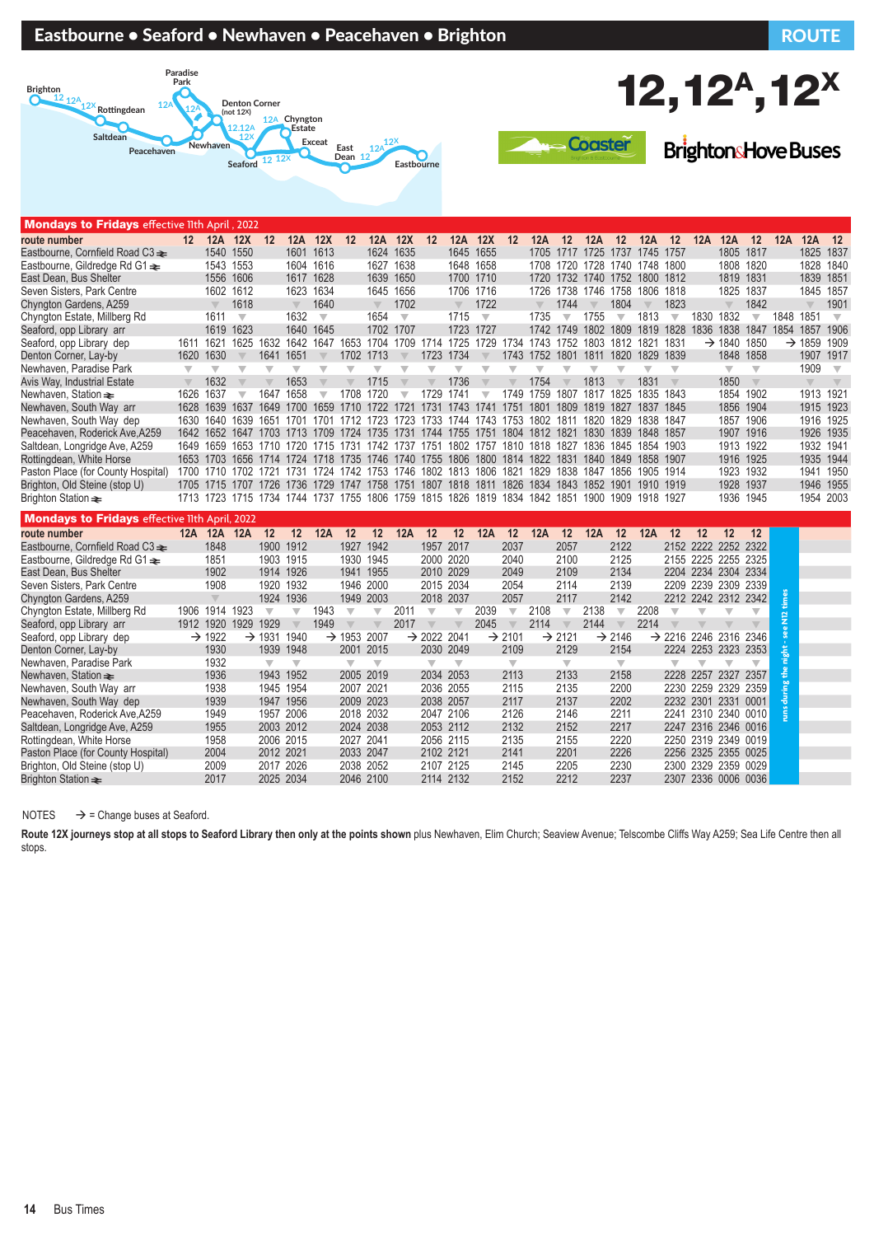| Peacehaven                                           |                          |                         | <b>Seaford</b>          | 12 12X                  |                                    |                          | шаэг<br>Dean 12         |                         | <b>Eastbourne</b>       | O                       |                         |                         |                         |                                                                                                |                          |                               |                         |      |                         |                         | DI IXI IWI KATUYE DUSES           |                          |                |                         |                         |
|------------------------------------------------------|--------------------------|-------------------------|-------------------------|-------------------------|------------------------------------|--------------------------|-------------------------|-------------------------|-------------------------|-------------------------|-------------------------|-------------------------|-------------------------|------------------------------------------------------------------------------------------------|--------------------------|-------------------------------|-------------------------|------|-------------------------|-------------------------|-----------------------------------|--------------------------|----------------|-------------------------|-------------------------|
|                                                      |                          |                         |                         |                         |                                    |                          |                         |                         |                         |                         |                         |                         |                         |                                                                                                |                          |                               |                         |      |                         |                         |                                   |                          |                |                         |                         |
|                                                      |                          |                         |                         |                         |                                    |                          |                         |                         |                         |                         |                         |                         |                         |                                                                                                |                          |                               |                         |      |                         |                         |                                   |                          |                |                         |                         |
| <b>Mondays to Fridays</b> effective lith April, 2022 |                          |                         |                         |                         |                                    |                          |                         |                         |                         |                         |                         |                         |                         |                                                                                                |                          |                               |                         |      |                         |                         |                                   |                          |                |                         |                         |
| route number                                         |                          | 12 12A 12X 12           |                         |                         | 12A 12X                            |                          | 12                      |                         | 12A 12X                 | 12                      | 12A 12X                 |                         | 12                      | 12A                                                                                            | 12                       | 12A                           | 12                      | 12A  | 12                      | 12A                     | 12A                               | 12                       | 12A 12A        |                         | 12                      |
| Eastbourne, Cornfield Road C3 $\triangle$            |                          | 1540 1550               |                         |                         | 1601 1613                          |                          |                         | 1624 1635               |                         |                         | 1645 1655               |                         |                         |                                                                                                |                          | 1705 1717 1725 1737 1745 1757 |                         |      |                         |                         | 1805 1817                         |                          |                | 1825 1837               |                         |
| Eastbourne, Gildredge Rd G1 $\triangleq$             |                          | 1543 1553               |                         |                         | 1604 1616                          |                          |                         | 1627 1638               |                         |                         | 1648 1658               |                         |                         |                                                                                                |                          | 1708 1720 1728 1740 1748 1800 |                         |      |                         |                         | 1808 1820                         |                          |                | 1828 1840               |                         |
| East Dean, Bus Shelter                               |                          | 1556 1606               |                         |                         | 1617 1628                          |                          |                         | 1639 1650               |                         |                         | 1700 1710               |                         |                         |                                                                                                |                          | 1720 1732 1740 1752 1800 1812 |                         |      |                         |                         | 1819 1831                         |                          |                | 1839 1851               |                         |
| Seven Sisters, Park Centre                           |                          | 1602 1612               |                         |                         | 1623 1634                          |                          |                         | 1645 1656               |                         |                         | 1706 1716               |                         |                         |                                                                                                |                          | 1726 1738 1746 1758 1806 1818 |                         |      |                         |                         | 1825 1837                         |                          |                | 1845 1857               |                         |
| Chyngton Gardens, A259                               |                          | $\overline{\mathbb{V}}$ | 1618                    |                         | $\overline{\mathbb{V}}$            | 1640                     |                         |                         | 1702                    |                         | $\overline{\mathbb{V}}$ | 1722                    |                         | $\overline{\mathbb{V}}$                                                                        | 1744                     |                               | 1804                    |      | 1823                    |                         | $\overline{\mathbb{V}}$           | 1842                     |                | $\overline{\mathbb{V}}$ | 1901                    |
| Chyngton Estate, Millberg Rd                         |                          | 1611                    | $\overline{\mathbf{v}}$ |                         | 1632                               | $\overline{\mathbf{v}}$  |                         | 1654                    | $\overline{\mathbf{v}}$ |                         | 1715                    | $\sqrt{}$               |                         | 1735                                                                                           | $\overline{\phantom{a}}$ | 1755                          | $\overline{\mathbf{v}}$ | 1813 | $\overline{\mathbf{v}}$ |                         | 1830 1832                         | $\overline{\phantom{a}}$ | 1848 1851      |                         | $\overline{\mathbf{v}}$ |
| Seaford, opp Library arr                             |                          | 1619 1623               |                         |                         | 1640 1645                          |                          |                         | 1702 1707               |                         |                         | 1723 1727               |                         |                         |                                                                                                |                          | 1742 1749 1802 1809 1819 1828 |                         |      |                         | 1836                    | 1838                              | 1847                     | 1854 1857 1906 |                         |                         |
| Seaford, opp Library dep                             |                          | 1611 1621               | 1625                    | 1632                    | 1642 1647 1653 1704 1709 1714 1725 |                          |                         |                         |                         |                         |                         | 1729                    |                         | 1734 1743 1752 1803 1812 1821                                                                  |                          |                               |                         |      | 1831                    |                         | $\rightarrow$ 1840 1850           |                          |                | $\rightarrow$ 1859 1909 |                         |
| Denton Corner, Lay-by                                |                          | 1620 1630               |                         | 1641                    | 1651                               |                          | 1702 1713               |                         |                         | 1723 1734               |                         |                         | 1743                    | 1752 1801                                                                                      |                          | 1811                          | 1820 1829               |      | 1839                    |                         | 1848 1858                         |                          |                | 1907 1917               |                         |
| Newhaven, Paradise Park                              | $\overline{\phantom{a}}$ | $\overline{\mathbb{V}}$ | $\overline{\mathbb{V}}$ | $\overline{\mathbb{V}}$ | $\overline{\mathbf{v}}$            |                          | v                       | ₩                       |                         | ₩                       | $\overline{\mathbb{V}}$ | ▼                       |                         | v                                                                                              | v                        | ▼                             |                         | ₩    | $\overline{\mathbb{V}}$ |                         | $\overline{\phantom{a}}$          | $\overline{\mathbb{V}}$  |                | 1909                    | $\overline{\mathbf{v}}$ |
| Avis Way, Industrial Estate                          |                          | 1632                    |                         |                         | 1653                               |                          |                         | 1715                    |                         |                         | 1736                    |                         |                         | 1754                                                                                           |                          | 1813                          |                         | 1831 | $\overline{\mathbb{V}}$ |                         | 1850                              | $\overline{\mathbb{V}}$  |                | $\overline{\mathbb{V}}$ | $\overline{\mathbb{V}}$ |
| Newhaven, Station $\equiv$                           | 1626 1637                |                         | $\overline{\mathbf{v}}$ | 1647                    | 1658                               | $\overline{\phantom{a}}$ | 1708 1720               |                         | $\overline{\mathbf{v}}$ | 1729 1741               |                         | $\overline{\mathbf{v}}$ |                         | 1749 1759 1807 1817 1825 1835 1843                                                             |                          |                               |                         |      |                         |                         | 1854 1902                         |                          |                | 1913 1921               |                         |
| Newhaven, South Way arr                              |                          | 1628 1639 1637 1649     |                         |                         |                                    |                          |                         |                         |                         |                         |                         |                         |                         | 1700 1659 1710 1722 1721 1731 1743 1741 1751 1801 1809 1819 1827 1837 1845                     |                          |                               |                         |      |                         |                         | 1856 1904                         |                          |                | 1915 1923               |                         |
| Newhaven, South Way dep                              |                          | 1630 1640 1639 1651     |                         |                         |                                    |                          |                         |                         |                         |                         |                         |                         |                         | 1701 1701 1712 1723 1723 1733 1744 1743 1753 1802 1811 1820 1829 1838 1847                     |                          |                               |                         |      |                         |                         | 1857 1906                         |                          |                | 1916 1925               |                         |
| Peacehaven, Roderick Ave, A259                       |                          |                         |                         |                         |                                    |                          |                         |                         |                         |                         |                         |                         |                         | 1642 1652 1647 1703 1713 1709 1724 1735 1731 1744 1755 1751 1804 1812 1821 1830 1839 1848 1857 |                          |                               |                         |      |                         |                         | 1907 1916                         |                          |                | 1926 1935               |                         |
| Saltdean, Longridge Ave, A259                        |                          |                         |                         |                         |                                    |                          |                         |                         |                         |                         |                         |                         |                         | 1649 1659 1653 1710 1720 1715 1731 1742 1737 1751 1802 1757 1810 1818 1827 1836 1845 1854 1903 |                          |                               |                         |      |                         |                         | 1913 1922                         |                          |                | 1932 1941               |                         |
| Rottingdean, White Horse                             |                          |                         |                         |                         |                                    |                          |                         |                         |                         |                         |                         |                         |                         | 1653 1703 1656 1714 1724 1718 1735 1746 1740 1755 1806 1800 1814 1822 1831 1840 1849 1858 1907 |                          |                               |                         |      |                         |                         | 1916 1925                         |                          |                | 1935 1944               |                         |
| Paston Place (for County Hospital)                   |                          |                         |                         |                         |                                    |                          |                         |                         |                         |                         |                         |                         |                         | 1700 1710 1702 1721 1731 1724 1742 1753 1746 1802 1813 1806 1821 1829 1838 1847 1856 1905 1914 |                          |                               |                         |      |                         |                         | 1923 1932                         |                          |                | 1941 1950               |                         |
| Brighton, Old Steine (stop U)                        |                          |                         |                         |                         |                                    |                          |                         |                         |                         |                         |                         |                         |                         | 1705 1715 1707 1726 1736 1729 1747 1758 1751 1807 1818 1811 1826 1834 1843 1852 1901 1910 1919 |                          |                               |                         |      |                         |                         | 1928 1937                         |                          |                | 1946 1955               |                         |
| Brighton Station $\equiv$                            |                          |                         |                         |                         |                                    |                          |                         |                         |                         |                         |                         |                         |                         | 1713 1723 1715 1734 1744 1737 1755 1806 1759 1815 1826 1819 1834 1842 1851 1900 1909 1918 1927 |                          |                               |                         |      |                         |                         | 1936 1945                         |                          |                | 1954 2003               |                         |
| <b>Mondays to Fridays effective llth April, 2022</b> |                          |                         |                         |                         |                                    |                          |                         |                         |                         |                         |                         |                         |                         |                                                                                                |                          |                               |                         |      |                         |                         |                                   |                          |                |                         |                         |
| route number                                         |                          | 12A 12A 12A 12          |                         |                         | 12                                 | 12A                      | 12                      | $12 \overline{ }$       | 12A                     | 12                      | 12                      | 12A                     | 12                      | 12A                                                                                            | 12                       | 12A                           | 12                      | 12A  | $12 \,$                 | $12 \,$                 | 12                                | 12                       |                |                         |                         |
| Eastbourne, Cornfield Road C3 $\triangle$            |                          | 1848                    |                         | 1900                    | 1912                               |                          | 1927 1942               |                         |                         | 1957 2017               |                         |                         | 2037                    |                                                                                                | 2057                     |                               | 2122                    |      |                         |                         | 2152 2222 2252 2322               |                          |                |                         |                         |
| Eastbourne, Gildredge Rd G1 <del>≥</del>             |                          | 1851                    |                         | 1903 1915               |                                    |                          | 1930 1945               |                         |                         | 2000 2020               |                         |                         | 2040                    |                                                                                                | 2100                     |                               | 2125                    |      |                         |                         | 2155 2225 2255 2325               |                          |                |                         |                         |
| East Dean, Bus Shelter                               |                          | 1902                    |                         | 1914 1926               |                                    |                          | 1941 1955               |                         |                         | 2010 2029               |                         |                         | 2049                    |                                                                                                | 2109                     |                               | 2134                    |      |                         |                         | 2204 2234 2304 2334               |                          |                |                         |                         |
| Seven Sisters, Park Centre                           |                          | 1908                    |                         | 1920                    | 1932                               |                          | 1946 2000               |                         |                         | 2015 2034               |                         |                         | 2054                    |                                                                                                | 2114                     |                               | 2139                    |      |                         |                         | 2209 2239 2309 2339               |                          |                |                         |                         |
| Chyngton Gardens, A259                               |                          | $\overline{\mathbb{V}}$ |                         | 1924 1936               |                                    |                          | 1949 2003               |                         |                         | 2018 2037               |                         |                         | 2057                    |                                                                                                | 2117                     |                               | 2142                    |      |                         |                         | 2212 2242 2312 2342               |                          |                |                         |                         |
| Chyngton Estate, Millberg Rd                         |                          | 1906 1914 1923          |                         | $\overline{\mathbb{V}}$ | $\overline{\mathbb{V}}$            | 1943                     | $\overline{\mathbf{v}}$ | $\overline{\mathbb{V}}$ | 2011                    | $\overline{\mathbf{v}}$ | $\overline{\mathbb{V}}$ | 2039                    | $\overline{\mathbf{v}}$ | 2108                                                                                           | $\overline{\mathbf{v}}$  | 2138                          | $\overline{\mathbf{v}}$ | 2208 | $\overline{\mathbf{v}}$ |                         |                                   | $\overline{\mathbb{V}}$  | Ë              |                         |                         |
| Seaford, opp Library arr                             |                          | 1912 1920               | 1929                    | 1929                    | $\overline{\mathbf{v}}$            | 1949                     | $\overline{\mathbb{V}}$ | $\overline{\mathbb{V}}$ | 2017                    | $\overline{\mathbf{v}}$ | $\overline{\mathbb{V}}$ | 2045                    | $\overline{\mathbb{V}}$ | 2114                                                                                           | $\overline{\mathbb{V}}$  | 2144                          | $\overline{\mathbb{V}}$ | 2214 |                         |                         |                                   |                          |                |                         |                         |
| Seaford, opp Library dep                             |                          | $\rightarrow$ 1922      |                         | $\rightarrow$ 1931 1940 |                                    |                          | $\rightarrow$ 1953 2007 |                         |                         | $\rightarrow$ 2022 2041 |                         |                         | $\rightarrow$ 2101      |                                                                                                | $\rightarrow$ 2121       |                               | $\rightarrow$ 2146      |      |                         |                         | $\rightarrow$ 2216 2246 2316 2346 |                          |                |                         |                         |
| Denton Corner, Lay-by                                |                          | 1930                    |                         | 1939 1948               |                                    |                          | 2001 2015               |                         |                         | 2030 2049               |                         |                         | 2109                    |                                                                                                | 2129                     |                               | 2154                    |      | 2224                    |                         | 2253 2323 2353                    |                          | night          |                         |                         |
| Newhaven, Paradise Park                              |                          | 1932                    |                         | $\overline{\mathbb{V}}$ | $\overline{\mathbf{v}}$            |                          | $\overline{\mathbf{v}}$ | $\overline{\mathbf{v}}$ |                         | $\overline{\mathbf{v}}$ | $\overline{\mathbf{v}}$ |                         | $\overline{\mathbf{v}}$ |                                                                                                | $\overline{\mathbf{v}}$  |                               | $\overline{\mathbf{v}}$ |      | $\overline{\mathbf{v}}$ | $\overline{\mathbf{v}}$ | $\overline{\mathbf{v}}$           | $\overline{\mathbb{V}}$  |                |                         |                         |
| Newhaven, Station $\equiv$                           |                          | 1936                    |                         | 1943 1952               |                                    |                          | 2005 2019               |                         |                         | 2034 2053               |                         |                         | 2113                    |                                                                                                | 2133                     |                               | 2158                    |      |                         |                         | 2228 2257 2327 2357               |                          |                |                         |                         |
| Newhaven, South Way arr                              |                          | 1938                    |                         | 1945 1954               |                                    |                          | 2007 2021               |                         |                         | 2036 2055               |                         |                         | 2115                    |                                                                                                | 2135                     |                               | 2200                    |      |                         |                         | 2230 2259 2329 2359               |                          |                |                         |                         |
| Newhaven, South Way dep                              |                          | 1939                    |                         | 1947 1956               |                                    |                          | 2009 2023               |                         |                         | 2038 2057               |                         |                         | 2117                    |                                                                                                | 2137                     |                               | 2202                    |      |                         |                         | 2232 2301 2331 0001               |                          |                |                         |                         |
| Peacehaven, Roderick Ave, A259                       |                          | 1949                    |                         | 1957 2006               |                                    |                          | 2018 2032               |                         |                         | 2047 2106               |                         |                         | 2126                    |                                                                                                | 2146                     |                               | 2211                    |      |                         |                         | 2241 2310 2340 0010               |                          |                |                         |                         |
| Saltdean, Longridge Ave, A259                        |                          | 1955                    |                         | 2003 2012               |                                    |                          | 2024 2038               |                         |                         | 2053 2112               |                         |                         | 2132                    |                                                                                                | 2152                     |                               | 2217                    |      |                         |                         | 2247 2316 2346 0016               |                          |                |                         |                         |

NOTES  $\rightarrow$  = Change buses at Seaford.

Route 12X journeys stop at all stops to Seaford Library then only at the points shown plus Newhaven, Elim Church; Seaview Avenue; Telscombe Cliffs Way A259; Sea Life Centre then all stops.

Rottingdean, White Horse 1958 2006 2015 2027 2041 2056 2115 2135 2155 2220 2250 2319 2349 0019 Paston Place (for County Hospital) 2004 2012 2021 2033 2047 2102 2121 2141 2201 2226 2256 2325 2355 0025

Brighton, Old Steine (stop U)  $\begin{array}{cccc} 2009 & 2017 & 2026 & 2038 & 2052 & 2107 & 2125 & 2145 & 2205 & 2230 \end{array}$ <br>Brighton Station ₹ 2017 2025 2034 2046 2100 2114 2132 2152 212 2237

### Eastbourne • Seaford • Newhaven • Peacehaven • Brighton Route ROUTE





**Rrighton Hove Russe** 

2307 2336 0006 0036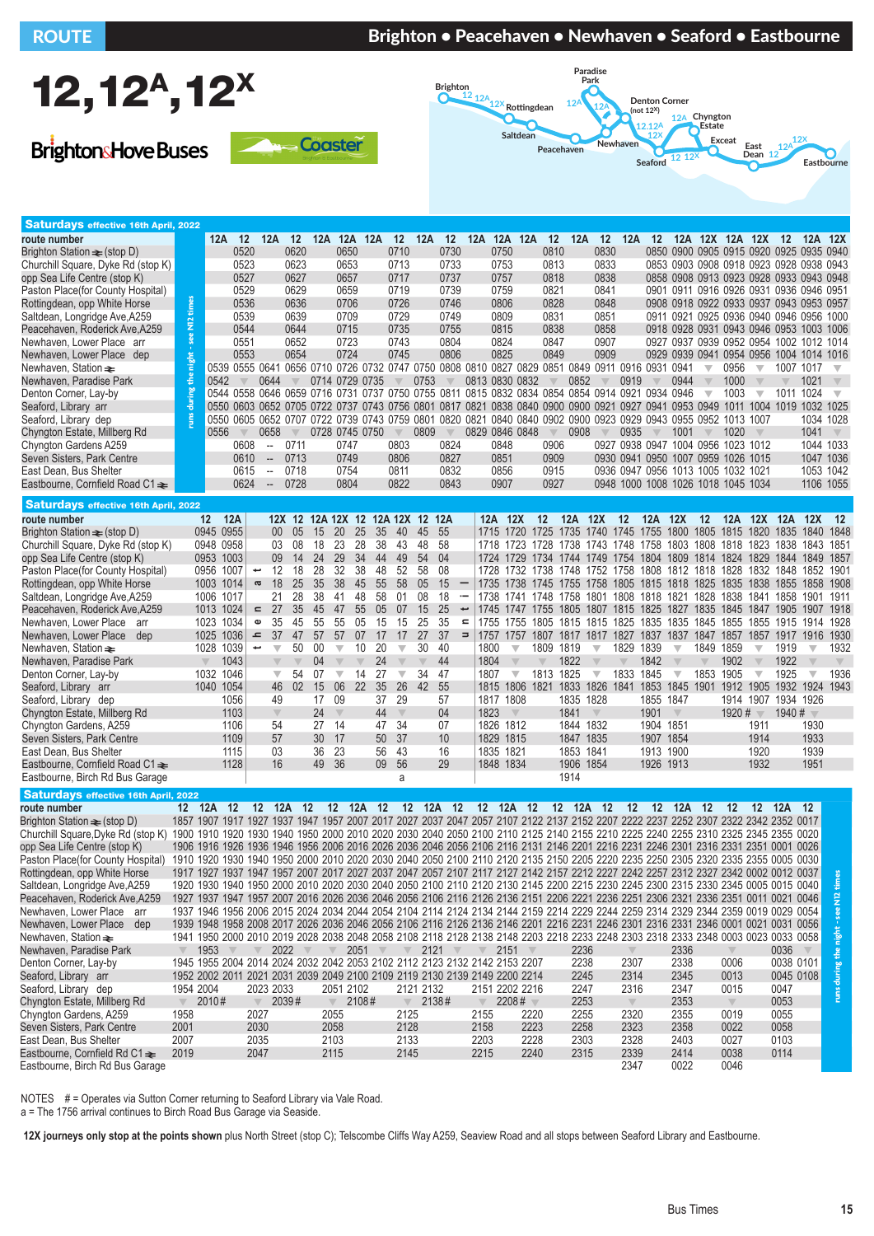## ROUTE BRIGHT BRIGHT IN Brighton • Peacehaven • Newhaven • Seaford • Eastbourne



**BrightonsHove Buses** 





| <b>Saturdays effective 16th April, 2022</b>                                                                                                                          |             |                                                                                                                                                                                                                                                                          |                          |                                                     |          |          |                         |                               |                           |                         |                                                                                                                              |                          |               |                         |                         |                               |                         |                                                                                                                       |           |                         |                                                                    |             |                         |           |                         |                         |
|----------------------------------------------------------------------------------------------------------------------------------------------------------------------|-------------|--------------------------------------------------------------------------------------------------------------------------------------------------------------------------------------------------------------------------------------------------------------------------|--------------------------|-----------------------------------------------------|----------|----------|-------------------------|-------------------------------|---------------------------|-------------------------|------------------------------------------------------------------------------------------------------------------------------|--------------------------|---------------|-------------------------|-------------------------|-------------------------------|-------------------------|-----------------------------------------------------------------------------------------------------------------------|-----------|-------------------------|--------------------------------------------------------------------|-------------|-------------------------|-----------|-------------------------|-------------------------|
| route number                                                                                                                                                         |             | 12A                                                                                                                                                                                                                                                                      | 12                       | 12A                                                 | 12       | 12A      |                         | 12A 12A                       | 12                        | 12A                     | 12                                                                                                                           |                          |               | 12A 12A 12A             | 12                      | 12A                           | 12                      | 12A                                                                                                                   | 12        |                         | 12A 12X 12A 12X 12                                                 |             |                         |           | 12A 12X                 |                         |
| Brighton Station $\equiv$ (stop D)                                                                                                                                   |             |                                                                                                                                                                                                                                                                          | 0520                     |                                                     | 0620     |          | 0650                    |                               | 0710                      |                         | 0730                                                                                                                         |                          | 0750          |                         | 0810                    |                               | 0830                    |                                                                                                                       |           |                         | 0850 0900 0905 0915 0920 0925 0935 0940                            |             |                         |           |                         |                         |
| Churchill Square, Dyke Rd (stop K)                                                                                                                                   |             |                                                                                                                                                                                                                                                                          | 0523                     |                                                     | 0623     |          | 0653                    |                               | 0713                      |                         | 0733                                                                                                                         |                          | 0753          |                         | 0813                    |                               | 0833                    |                                                                                                                       |           |                         | 0853 0903 0908 0918 0923 0928 0938 0943                            |             |                         |           |                         |                         |
| opp Sea Life Centre (stop K)                                                                                                                                         |             |                                                                                                                                                                                                                                                                          | 0527                     |                                                     | 0627     |          | 0657                    |                               | 0717                      |                         | 0737                                                                                                                         |                          | 0757          |                         | 0818                    |                               | 0838                    |                                                                                                                       |           |                         | 0858 0908 0913 0923 0928 0933 0943 0948                            |             |                         |           |                         |                         |
| Paston Place (for County Hospital)                                                                                                                                   |             |                                                                                                                                                                                                                                                                          | 0529                     |                                                     | 0629     |          | 0659                    |                               | 0719                      |                         | 0739                                                                                                                         |                          | 0759          |                         | 0821                    |                               | 0841                    |                                                                                                                       |           |                         | 0901 0911 0916 0926 0931 0936 0946 0951                            |             |                         |           |                         |                         |
| Rottingdean, opp White Horse                                                                                                                                         | times       |                                                                                                                                                                                                                                                                          | 0536                     |                                                     | 0636     |          | 0706                    |                               | 0726                      |                         | 0746                                                                                                                         |                          | 0806          |                         | 0828                    |                               | 0848                    |                                                                                                                       |           |                         | 0908 0918 0922 0933 0937 0943 0953 0957                            |             |                         |           |                         |                         |
| Saltdean, Longridge Ave, A259                                                                                                                                        | $\dot{\Xi}$ |                                                                                                                                                                                                                                                                          | 0539                     |                                                     | 0639     |          | 0709                    |                               | 0729                      |                         | 0749                                                                                                                         |                          | 0809          |                         | 0831                    |                               | 0851                    |                                                                                                                       |           |                         | 0911 0921 0925 0936 0940 0946 0956 1000                            |             |                         |           |                         |                         |
| Peacehaven, Roderick Ave, A259                                                                                                                                       | see         |                                                                                                                                                                                                                                                                          | 0544                     |                                                     | 0644     |          | 0715                    |                               | 0735                      |                         | 0755                                                                                                                         |                          | 0815          |                         | 0838                    |                               | 0858                    |                                                                                                                       |           |                         | 0918 0928 0931 0943 0946 0953 1003 1006                            |             |                         |           |                         |                         |
| Newhaven, Lower Place arr                                                                                                                                            |             |                                                                                                                                                                                                                                                                          | 0551                     |                                                     | 0652     |          | 0723                    |                               | 0743                      |                         | 0804                                                                                                                         |                          | 0824          |                         | 0847                    |                               | 0907                    |                                                                                                                       |           |                         | 0927 0937 0939 0952 0954 1002 1012 1014                            |             |                         |           |                         |                         |
| Newhaven, Lower Place dep                                                                                                                                            | night       |                                                                                                                                                                                                                                                                          | 0553                     |                                                     | 0654     |          | 0724                    |                               | 0745                      |                         | 0806<br>0539 0555 0641 0656 0710 0726 0732 0747 0750 0808 0810 0827 0829 0851 0849 0911 0916 0931 0941                       |                          | 0825          |                         | 0849                    |                               | 0909                    |                                                                                                                       |           |                         | 0929 0939 0941 0954 0956 1004 1014 1016<br>$\overline{\mathbf{v}}$ | 0956        | $\overline{\mathbf{v}}$ | 1007 1017 |                         | $\overline{\mathbf{v}}$ |
| Newhaven, Station $\equiv$<br>Newhaven, Paradise Park                                                                                                                | ÷           | 0542                                                                                                                                                                                                                                                                     |                          | 0644                                                |          |          |                         | 0714 0729 0735                |                           | 0753                    |                                                                                                                              |                          |               | 0813 0830 0832          |                         | 0852                          |                         | 0919                                                                                                                  |           | 0944                    | $\overline{\mathbb{V}}$                                            | 1000        | $\overline{\mathbb{V}}$ |           | 1021                    | $\overline{\mathbb{V}}$ |
| Denton Corner, Lay-by                                                                                                                                                |             |                                                                                                                                                                                                                                                                          |                          |                                                     |          |          |                         |                               |                           |                         | 0544 0558 0646 0659 0716 0731 0737 0750 0755 0811 0815 0832 0834 0854 0854 0914 0921 0934 0946                               |                          |               |                         |                         |                               |                         |                                                                                                                       |           |                         | $\overline{\mathbf{v}}$                                            | 1003        | $\overline{\mathbf{v}}$ | 1011 1024 |                         | $\overline{\mathbf{v}}$ |
| Seaford, Library arr                                                                                                                                                 |             |                                                                                                                                                                                                                                                                          |                          |                                                     |          |          |                         |                               |                           |                         | 0550 0603 0652 0705 0722 0737 0743 0756 0801 0817 0821 0838 0840 0900 0900 0921 0927 0941 0953 0949 1011 1004 1019 1032 1025 |                          |               |                         |                         |                               |                         |                                                                                                                       |           |                         |                                                                    |             |                         |           |                         |                         |
| Seaford, Library dep                                                                                                                                                 |             |                                                                                                                                                                                                                                                                          |                          |                                                     |          |          |                         |                               |                           |                         | 0550 0605 0652 0707 0722 0739 0743 0759 0801 0820 0821 0840 0840 0902 0900 0923 0929 0943 0955 0952 1013 1007                |                          |               |                         |                         |                               |                         |                                                                                                                       |           |                         |                                                                    |             |                         |           | 1034 1028               |                         |
| Chyngton Estate, Millberg Rd                                                                                                                                         |             | 0556                                                                                                                                                                                                                                                                     |                          | 0658                                                |          |          |                         | 0728 0745 0750                | $\overline{\mathbb{V}}$   | 0809                    | $\overline{\mathbb{V}}$                                                                                                      |                          |               | 0829 0846 0848          | $\overline{\mathbb{V}}$ | 0908                          | $\overline{\mathbb{V}}$ | 0935                                                                                                                  |           | 1001                    | $\overline{\mathbb{V}}$                                            | 1020        | $\overline{\mathbb{V}}$ |           | 1041                    | $\mathbb V$             |
| Chyngton Gardens A259                                                                                                                                                |             |                                                                                                                                                                                                                                                                          | 0608                     | $\hspace{0.05cm} -\hspace{0.05cm} -\hspace{0.05cm}$ | 0711     |          | 0747                    |                               | 0803                      |                         | 0824                                                                                                                         |                          | 0848          |                         | 0906                    |                               |                         | 0927 0938 0947 1004 0956 1023 1012                                                                                    |           |                         |                                                                    |             |                         |           | 1044 1033               |                         |
| Seven Sisters, Park Centre                                                                                                                                           |             |                                                                                                                                                                                                                                                                          | 0610                     | $\overline{\phantom{a}}$                            | 0713     |          | 0749                    |                               | 0806                      |                         | 0827                                                                                                                         |                          | 0851          |                         | 0909                    |                               |                         | 0930 0941 0950 1007 0959 1026 1015                                                                                    |           |                         |                                                                    |             |                         |           | 1047 1036               |                         |
| East Dean, Bus Shelter                                                                                                                                               |             |                                                                                                                                                                                                                                                                          | 0615                     | $\overline{\phantom{a}}$                            | 0718     |          | 0754                    |                               | 0811                      |                         | 0832                                                                                                                         |                          | 0856          |                         | 0915                    |                               |                         | 0936 0947 0956 1013 1005 1032 1021                                                                                    |           |                         |                                                                    |             |                         |           | 1053 1042               |                         |
| Eastbourne, Cornfield Road C1 $\textcolor{red}{\blacktriangleright}$                                                                                                 |             |                                                                                                                                                                                                                                                                          | 0624                     | $\sim$                                              | 0728     |          | 0804                    |                               | 0822                      |                         | 0843                                                                                                                         |                          | 0907          |                         | 0927                    |                               |                         | 0948 1000 1008 1026 1018 1045 1034                                                                                    |           |                         |                                                                    |             |                         |           | 1106 1055               |                         |
|                                                                                                                                                                      |             |                                                                                                                                                                                                                                                                          |                          |                                                     |          |          |                         |                               |                           |                         |                                                                                                                              |                          |               |                         |                         |                               |                         |                                                                                                                       |           |                         |                                                                    |             |                         |           |                         |                         |
| <b>Saturdays effective 16th April, 2022</b>                                                                                                                          |             |                                                                                                                                                                                                                                                                          |                          |                                                     |          |          |                         |                               |                           |                         |                                                                                                                              |                          |               |                         |                         |                               |                         |                                                                                                                       |           |                         |                                                                    |             |                         |           |                         |                         |
| route number                                                                                                                                                         |             | 12 12A                                                                                                                                                                                                                                                                   |                          |                                                     | $12X$ 12 |          |                         |                               | 12A 12X 12 12A 12X 12 12A |                         |                                                                                                                              |                          | 12A 12X       |                         | 12                      | 12A 12X 12                    |                         |                                                                                                                       | 12A 12X   |                         | 12                                                                 |             | 12A 12X 12A 12X         |           |                         | $-12$                   |
| Brighton Station $\text{≑}$ (stop D)                                                                                                                                 |             | 0945 0955<br>0948 0958                                                                                                                                                                                                                                                   |                          | 00 <sup>°</sup><br>03                               | 05<br>08 | 15<br>18 | 20<br>23                | 25<br>35<br>28<br>38          | 40<br>43                  | 45<br>48                | 55<br>58                                                                                                                     |                          | 1715 1720     |                         |                         |                               |                         | 1725 1735 1740 1745 1755 1800 1805 1815 1820<br>1718 1723 1728 1738 1743 1748 1758 1803 1808 1818 1823 1838 1843 1851 |           |                         |                                                                    |             |                         |           | 1835 1840               | 1848                    |
| Churchill Square, Dyke Rd (stop K)<br>opp Sea Life Centre (stop K)                                                                                                   |             | 0953 1003                                                                                                                                                                                                                                                                |                          | 09                                                  | 14       | 24       | 29                      | 34<br>44                      | 49                        | 54                      | 04                                                                                                                           |                          |               |                         |                         |                               |                         | 1724 1729 1734 1744 1749 1754 1804 1809 1814 1824 1829 1844 1849                                                      |           |                         |                                                                    |             |                         |           |                         | 1857                    |
| Paston Place(for County Hospital)                                                                                                                                    |             | 0956 1007                                                                                                                                                                                                                                                                | $\overline{\phantom{a}}$ | 12                                                  | 18       | 28       | 32                      | 38<br>48                      | 52                        | 58                      | 08                                                                                                                           |                          |               |                         |                         |                               |                         | 1728 1732 1738 1748 1752 1758 1808 1812 1818 1828 1832 1848 1852 1901                                                 |           |                         |                                                                    |             |                         |           |                         |                         |
| Rottingdean, opp White Horse                                                                                                                                         |             | 1003 1014                                                                                                                                                                                                                                                                | a                        | 18                                                  | 25       | 35       | 38                      | 45<br>55                      | 58                        | 05                      | 15                                                                                                                           |                          | 1735          | 1738                    |                         |                               |                         | 1745 1755 1758 1805 1815 1818 1825 1835 1838 1855 1858                                                                |           |                         |                                                                    |             |                         |           |                         | 1908                    |
| Saltdean, Longridge Ave, A259                                                                                                                                        |             | 1006 1017                                                                                                                                                                                                                                                                |                          | 21                                                  | 28       | 38       | 41                      | 58<br>48                      | 01                        | 08                      | 18                                                                                                                           |                          |               |                         |                         |                               |                         | 1738 1741 1748 1758 1801 1808 1818 1821 1828 1838 1841 1858 1901                                                      |           |                         |                                                                    |             |                         |           |                         | 1911                    |
| Peacehaven, Roderick Ave, A259                                                                                                                                       |             | 1013 1024                                                                                                                                                                                                                                                                |                          | $= 27$                                              | 35       | 45       | 47                      | 55<br>05                      | 07                        | 15                      | 25                                                                                                                           | $\overline{\phantom{a}}$ | 1745          |                         |                         |                               |                         | 1747 1755 1805 1807 1815 1825 1827 1835 1845 1847 1905 1907 1918                                                      |           |                         |                                                                    |             |                         |           |                         |                         |
| Newhaven, Lower Place arr                                                                                                                                            |             | 1023 1034                                                                                                                                                                                                                                                                | $\mathbf \omega$         | 35                                                  | 45       | 55       | 55                      | 05<br>15                      | 15                        | 25                      | 35                                                                                                                           | $\blacksquare$           | 1755          | 1755                    |                         |                               |                         | 1805 1815 1815 1825 1835 1835 1845 1855 1855                                                                          |           |                         |                                                                    |             |                         | 1915 1914 |                         | 1928                    |
| Newhaven, Lower Place dep                                                                                                                                            |             | 1025 1036                                                                                                                                                                                                                                                                | $\mathbf{r}$             | 37                                                  | 47       | 57       | 57                      | 07<br>17                      | 17                        | 27                      | 37                                                                                                                           |                          |               |                         |                         |                               |                         | $=$ 1757 1757 1807 1817 1817 1827 1837 1837 1847 1857 1857 1917 1916                                                  |           |                         |                                                                    |             |                         |           |                         | 1930                    |
| Newhaven, Station $\equiv$                                                                                                                                           |             | 1028 1039                                                                                                                                                                                                                                                                | $\overline{\phantom{a}}$ | $\overline{\mathbf{v}}$                             | 50       | 00       | $\overline{\mathbf{v}}$ | 10<br>20                      | $\overline{\mathbb{V}}$   | 30                      | 40                                                                                                                           |                          | 1800          | $\overline{\mathbf{v}}$ | 1809 1819               |                               | $\overline{\mathbf{v}}$ | 1829 1839                                                                                                             |           | $\overline{\mathbf{v}}$ | 1849 1859                                                          |             | $\overline{\mathbf{v}}$ | 1919      | $\overline{\mathbf{v}}$ | 1932                    |
| Newhaven, Paradise Park                                                                                                                                              |             | 1043                                                                                                                                                                                                                                                                     |                          | $\overline{\mathbb{V}}$                             |          | 04       | $\overline{\mathbb{V}}$ | 24<br>$\overline{\mathbb{V}}$ | $\overline{\mathbb{V}}$   | $\overline{\mathbb{V}}$ | 44                                                                                                                           |                          | 1804          | $\overline{\mathbb{V}}$ |                         | 1822                          | $\overline{\mathbb{V}}$ |                                                                                                                       | 1842      | $\overline{\mathbb{V}}$ |                                                                    | 1902        | $\overline{\mathbb{V}}$ | 1922      |                         | $\overline{\mathbb{V}}$ |
| Denton Corner, Lay-by                                                                                                                                                |             | 1032 1046                                                                                                                                                                                                                                                                |                          | $\overline{\mathbf{v}}$                             | 54       | 07       | $\overline{\mathbf{v}}$ | 14<br>27                      | $\overline{\mathbf{v}}$   | 34                      | 47                                                                                                                           |                          | 1807          | $\overline{\mathbf{v}}$ | 1813 1825               |                               | $\overline{\mathbf{v}}$ | 1833 1845                                                                                                             |           | $\overline{\mathbf{v}}$ | 1853 1905                                                          |             | $\overline{\mathbf{v}}$ | 1925      | $\overline{\mathbf{v}}$ | 1936                    |
| Seaford, Library arr                                                                                                                                                 |             | 1040 1054                                                                                                                                                                                                                                                                |                          | 46                                                  | 02       | 15       | 06                      | 22<br>35                      | 26                        | 42                      | 55                                                                                                                           |                          |               |                         |                         | 1815 1806 1821 1833 1826 1841 |                         |                                                                                                                       |           |                         | 1853 1845 1901 1912 1905 1932 1924 1943                            |             |                         |           |                         |                         |
| Seaford, Library dep                                                                                                                                                 |             | 1056                                                                                                                                                                                                                                                                     |                          | 49                                                  |          | 17 09    |                         | 37                            | 29                        |                         | 57                                                                                                                           |                          | 1817 1808     |                         |                         | 1835 1828                     |                         |                                                                                                                       | 1855 1847 |                         |                                                                    |             | 1914 1907 1934 1926     |           |                         |                         |
| Chyngton Estate, Millberg Rd                                                                                                                                         |             | 1103                                                                                                                                                                                                                                                                     |                          | $\overline{\mathbb{V}}$                             |          | 24       | $\overline{\mathbf{v}}$ | 44                            | $\overline{\mathbb{V}}$   |                         | 04                                                                                                                           |                          | 1823          | $\overline{\mathbb{V}}$ |                         | 1841                          | $\overline{\mathbf{v}}$ |                                                                                                                       | 1901      | $\overline{\mathbb{V}}$ |                                                                    | 1920#       |                         | 1940#     |                         |                         |
| Chyngton Gardens, A259                                                                                                                                               |             | 1106                                                                                                                                                                                                                                                                     |                          | 54                                                  |          | 27 14    |                         | 47                            | 34                        |                         | 07                                                                                                                           |                          | 1826 1812     |                         |                         | 1844 1832                     |                         |                                                                                                                       | 1904 1851 |                         |                                                                    |             | 1911                    |           | 1930                    |                         |
| Seven Sisters, Park Centre                                                                                                                                           |             | 1109                                                                                                                                                                                                                                                                     |                          | 57                                                  |          | 30 17    |                         | 50                            | 37                        |                         | 10                                                                                                                           |                          | 1829 1815     |                         |                         | 1847 1835                     |                         |                                                                                                                       | 1907 1854 |                         |                                                                    |             | 1914                    |           | 1933                    |                         |
| East Dean, Bus Shelter                                                                                                                                               |             | 1115                                                                                                                                                                                                                                                                     |                          | 03                                                  |          | 36 23    |                         |                               | 43<br>56                  |                         | 16                                                                                                                           |                          | 1835 1821     |                         |                         | 1853 1841                     |                         |                                                                                                                       | 1913 1900 |                         |                                                                    |             | 1920                    |           | 1939                    |                         |
| Eastbourne, Cornfield Road C1 $\triangle$                                                                                                                            |             | 1128                                                                                                                                                                                                                                                                     |                          | 16                                                  |          | 49 36    |                         | 09                            | 56                        |                         | 29                                                                                                                           |                          | 1848 1834     |                         |                         | 1906 1854                     |                         |                                                                                                                       | 1926 1913 |                         |                                                                    |             | 1932                    |           | 1951                    |                         |
| Eastbourne, Birch Rd Bus Garage                                                                                                                                      |             |                                                                                                                                                                                                                                                                          |                          |                                                     |          |          |                         |                               | a                         |                         |                                                                                                                              |                          |               |                         |                         | 1914                          |                         |                                                                                                                       |           |                         |                                                                    |             |                         |           |                         |                         |
| <b>Saturdays effective 16th April, 2022</b>                                                                                                                          |             |                                                                                                                                                                                                                                                                          |                          |                                                     |          |          |                         |                               |                           |                         |                                                                                                                              |                          |               |                         |                         |                               |                         |                                                                                                                       |           |                         |                                                                    |             |                         |           |                         |                         |
| route number                                                                                                                                                         |             | 12 12A 12                                                                                                                                                                                                                                                                | $12 \,$                  | 12A                                                 | 12       |          |                         | 12 12A 12                     |                           |                         | 12 12A 12                                                                                                                    |                          |               | 12 12A 12               |                         | 12 12A 12                     |                         | 12                                                                                                                    | 12 12A    |                         | 12                                                                 | 12          | 12 12A 12               |           |                         |                         |
| Brighton Station $\equiv$ (stop D)                                                                                                                                   |             | 1857 1907 1917 1927 1937 1947 1957 2007 2017 2027 2037 2047 2057 2107 2122 2137 2152 2207 2222 2237 2252 2307 2322 2342 2352 0017                                                                                                                                        |                          |                                                     |          |          |                         |                               |                           |                         |                                                                                                                              |                          |               |                         |                         |                               |                         |                                                                                                                       |           |                         |                                                                    |             |                         |           |                         |                         |
| Churchill Square, Dyke Rd (stop K) 1900 1910 1920 1930 1940 1950 2000 2010 2020 2030 2040 2050 2100 2110 2125 2140 2155 2210 2225 2240 2255 2310 2325 2345 2355 0020 |             |                                                                                                                                                                                                                                                                          |                          |                                                     |          |          |                         |                               |                           |                         |                                                                                                                              |                          |               |                         |                         |                               |                         |                                                                                                                       |           |                         |                                                                    |             |                         |           |                         |                         |
| opp Sea Life Centre (stop K)                                                                                                                                         |             | 1906 1916 1926 1936 1946 1956 2006 2016 2026 2036 2046 2056 2106 2116 2131 2146 2201 2216 2231 2246 2301 2316 2331 2351 0001 0026                                                                                                                                        |                          |                                                     |          |          |                         |                               |                           |                         |                                                                                                                              |                          |               |                         |                         |                               |                         |                                                                                                                       |           |                         |                                                                    |             |                         |           |                         |                         |
| Paston Place (for County Hospital)                                                                                                                                   |             | 1910 1920 1930 1940 1950 2000 2010 2020 2030 2040 2050 2100 2110 2120 2135 2150 2205 2220 2235 2250 2305 2320 2335 2355 0005 0030                                                                                                                                        |                          |                                                     |          |          |                         |                               |                           |                         |                                                                                                                              |                          |               |                         |                         |                               |                         |                                                                                                                       |           |                         |                                                                    |             |                         |           |                         |                         |
| Rottingdean, opp White Horse<br>Saltdean, Longridge Ave, A259                                                                                                        |             | 1917 1927 1937 1947 1957 2007 2017 2027 2037 2047 2057 2107 2117 2127 2142 2157 2212 2227 2242 2257 2312 2327 2342 0002 0012 0037 1<br>1920 1930 1940 1950 2000 2010 2020 2030 2040 2050 2100 2110 2120 2130 2145 2200 2215 2230 2245 2300 2315 2330 2345 0005 0015 0040 |                          |                                                     |          |          |                         |                               |                           |                         |                                                                                                                              |                          |               |                         |                         |                               |                         |                                                                                                                       |           |                         |                                                                    |             |                         |           |                         | - 80                    |
| Peacehaven, Roderick Ave, A259                                                                                                                                       |             | 1927 1937 1947 1957 2007 2016 2026 2036 2046 2056 2106 2116 2126 2136 2151 2206 2221 2236 2251 2306 2321 2336 2351 0011 0021 0046                                                                                                                                        |                          |                                                     |          |          |                         |                               |                           |                         |                                                                                                                              |                          |               |                         |                         |                               |                         |                                                                                                                       |           |                         |                                                                    |             |                         |           |                         |                         |
| Newhaven, Lower Place arr                                                                                                                                            |             | 1937 1946 1956 2006 2015 2024 2034 2044 2054 2104 2114 2124 2134 2144 2159 2214 2229 2244 2259 2314 2329 2344 2359 0019 0029 0054                                                                                                                                        |                          |                                                     |          |          |                         |                               |                           |                         |                                                                                                                              |                          |               |                         |                         |                               |                         |                                                                                                                       |           |                         |                                                                    |             |                         |           |                         | night - see N12         |
| Newhaven, Lower Place dep                                                                                                                                            |             | 1939 1948 1958 2008 2017 2026 2036 2046 2056 2106 2116 2126 2136 2146 2201 2216 2231 2246 2301 2316 2331 2346 0001 0021 0031 0056                                                                                                                                        |                          |                                                     |          |          |                         |                               |                           |                         |                                                                                                                              |                          |               |                         |                         |                               |                         |                                                                                                                       |           |                         |                                                                    |             |                         |           |                         |                         |
| Newhaven, Station $\rightleftharpoons$                                                                                                                               |             | 1941 1950 2000 2010 2019 2028 2038 2048 2058 2108 2118 2128 2138 2148 2203 2218 2233 2248 2303 2318 2333 2348 0003 0023 0033 0058                                                                                                                                        |                          |                                                     |          |          |                         |                               |                           |                         |                                                                                                                              |                          |               |                         |                         |                               |                         |                                                                                                                       |           |                         |                                                                    |             |                         |           |                         |                         |
| Newhaven, Paradise Park                                                                                                                                              |             | 1953                                                                                                                                                                                                                                                                     |                          |                                                     | 2022     |          |                         | $2051$ $\sqrt{ }$             |                           |                         | $\sqrt{2121}$                                                                                                                |                          | $\sqrt{2151}$ |                         |                         | 2236                          |                         |                                                                                                                       |           | 2336                    |                                                                    |             |                         | 0036      |                         |                         |
| Denton Corner, Lay-by                                                                                                                                                |             | 1945 1955 2004 2014 2024 2032 2042 2053 2102 2112 2123 2132 2142 2153 2207                                                                                                                                                                                               |                          |                                                     |          |          |                         |                               |                           |                         |                                                                                                                              |                          |               |                         |                         | 2238                          |                         | 2307                                                                                                                  |           | 2338                    |                                                                    | 0006        |                         | 0038 0101 |                         | runs during the         |
| Seaford, Library arr                                                                                                                                                 |             | 1952 2002 2011 2021 2031 2039 2049 2100 2109 2119 2130 2139 2149 2200 2214                                                                                                                                                                                               |                          |                                                     |          |          |                         |                               |                           |                         |                                                                                                                              |                          |               |                         |                         | 2245                          |                         | 2314                                                                                                                  |           | 2345                    |                                                                    | 0013        |                         | 0045 0108 |                         |                         |
| Seaford, Library dep                                                                                                                                                 | 1954 2004   |                                                                                                                                                                                                                                                                          |                          | 2023 2033                                           |          |          | 2051 2102               |                               |                           | 2121 2132               |                                                                                                                              |                          |               | 2151 2202 2216          |                         | 2247                          |                         | 2316                                                                                                                  |           | 2347                    |                                                                    | 0015        |                         | 0047      |                         |                         |
| Chyngton Estate, Millberg Rd                                                                                                                                         | $\mathbb V$ | 2010#                                                                                                                                                                                                                                                                    | $\overline{\vee}$        |                                                     | 2039#    |          | $\overline{\mathbb{V}}$ | 2108#                         |                           |                         | $\sqrt{2138\#}$                                                                                                              | $\overline{\mathbb{V}}$  |               | $2208#$ $\sqrt{ }$      |                         | 2253                          |                         | $\mathbb V$                                                                                                           |           | 2353                    |                                                                    | $\mathbb V$ |                         | 0053      |                         |                         |
| Chyngton Gardens, A259                                                                                                                                               | 1958        |                                                                                                                                                                                                                                                                          | 2027                     |                                                     |          |          | 2055                    |                               | 2125                      |                         |                                                                                                                              | 2155                     |               | 2220                    |                         | 2255                          |                         | 2320                                                                                                                  |           | 2355                    |                                                                    | 0019        |                         | 0055      |                         |                         |
| Seven Sisters, Park Centre                                                                                                                                           | 2001        |                                                                                                                                                                                                                                                                          | 2030                     |                                                     |          | 2058     |                         |                               | 2128                      |                         |                                                                                                                              | 2158                     |               | 2223                    |                         | 2258                          |                         | 2323                                                                                                                  |           | 2358                    |                                                                    | 0022        |                         | 0058      |                         |                         |
| East Dean, Bus Shelter                                                                                                                                               | 2007        |                                                                                                                                                                                                                                                                          | 2035                     |                                                     |          | 2103     |                         |                               | 2133                      |                         |                                                                                                                              | 2203                     |               | 2228                    |                         | 2303                          |                         | 2328                                                                                                                  |           | 2403                    |                                                                    | 0027        |                         | 0103      |                         |                         |
| Eastbourne, Cornfield Rd C1 $\triangleq$                                                                                                                             | 2019        |                                                                                                                                                                                                                                                                          | 2047                     |                                                     |          | 2115     |                         |                               | 2145                      |                         |                                                                                                                              | 2215                     |               | 2240                    |                         | 2315                          |                         | 2339                                                                                                                  |           | 2414                    |                                                                    | 0038        |                         | 0114      |                         |                         |
| Eastbourne, Birch Rd Bus Garage                                                                                                                                      |             |                                                                                                                                                                                                                                                                          |                          |                                                     |          |          |                         |                               |                           |                         |                                                                                                                              |                          |               |                         |                         |                               |                         | 2347                                                                                                                  |           | 0022                    |                                                                    | 0046        |                         |           |                         |                         |

NOTES # = Operates via Sutton Corner returning to Seaford Library via Vale Road.

a = The 1756 arrival continues to Birch Road Bus Garage via Seaside.

**12X journeys only stop at the points shown** plus North Street (stop C); Telscombe Cliffs Way A259, Seaview Road and all stops between Seaford Library and Eastbourne.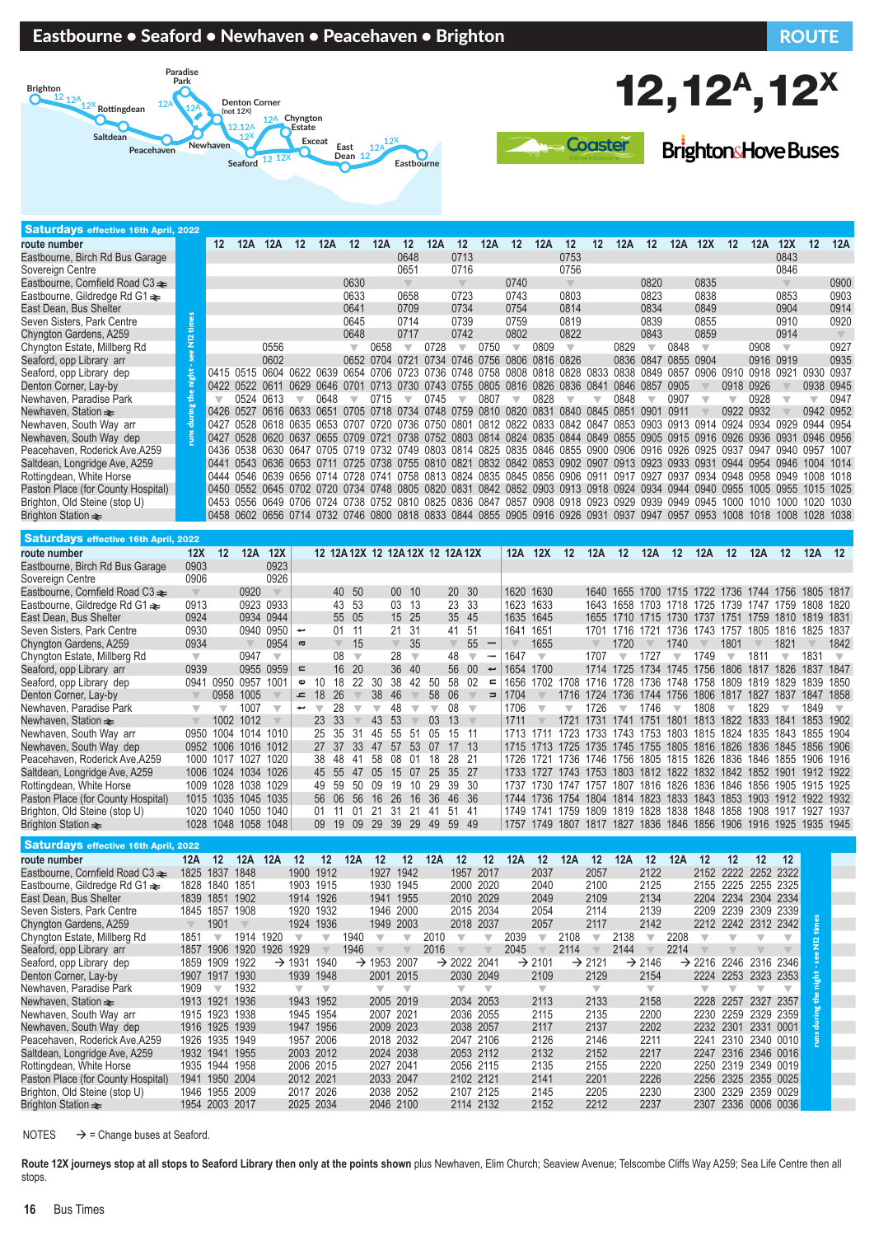#### Eastbourne • Seaford • Newhaven • Peacehaven • Brighton Route Route ROUTE





**BrightonsHove Buses** 

| <b>Saturdays effective 16th April, 2022</b> |          |      |                                                                                                     |      |                |      |                          |                |      |               |                          |                                                                                                          |                          |           |                          |                   |      |       |           |                          |      |           |                          |                         |      |
|---------------------------------------------|----------|------|-----------------------------------------------------------------------------------------------------|------|----------------|------|--------------------------|----------------|------|---------------|--------------------------|----------------------------------------------------------------------------------------------------------|--------------------------|-----------|--------------------------|-------------------|------|-------|-----------|--------------------------|------|-----------|--------------------------|-------------------------|------|
| route number                                |          | 12   | 12A                                                                                                 | 12A  | 12             | 12A  | 12                       | 12A            | 12   | 12A           | 12                       | 12A                                                                                                      | 12                       | 12A       | 12                       | $12 \overline{ }$ | 12A  | 12    | 12A       | 12X                      | 12   | 12A       | 12X                      | 12                      | 12A  |
| Eastbourne, Birch Rd Bus Garage             |          |      |                                                                                                     |      |                |      |                          |                | 0648 |               | 0713                     |                                                                                                          |                          |           | 0753                     |                   |      |       |           |                          |      |           | 0843                     |                         |      |
| Sovereign Centre                            |          |      |                                                                                                     |      |                |      |                          |                | 0651 |               | 0716                     |                                                                                                          |                          |           | 0756                     |                   |      |       |           |                          |      |           | 0846                     |                         |      |
| Eastbourne, Cornfield Road C3 $\equiv$      |          |      |                                                                                                     |      |                |      | 0630                     |                |      |               | $\overline{\mathcal{A}}$ |                                                                                                          | 0740                     |           | $\overline{\mathbb{V}}$  |                   |      | 0820  |           | 0835                     |      |           |                          |                         | 0900 |
| Eastbourne, Gildredge Rd G1 $\triangleq$    |          |      |                                                                                                     |      |                |      | 0633                     |                | 0658 |               | 0723                     |                                                                                                          | 0743                     |           | 0803                     |                   |      | 0823  |           | 0838                     |      |           | 0853                     |                         | 0903 |
| East Dean, Bus Shelter                      |          |      |                                                                                                     |      |                |      | 0641                     |                | 0709 |               | 0734                     |                                                                                                          | 0754                     |           | 0814                     |                   |      | 0834  |           | 0849                     |      |           | 0904                     |                         | 0914 |
| Seven Sisters, Park Centre                  |          |      |                                                                                                     |      |                |      | 0645                     |                | 0714 |               | 0739                     |                                                                                                          | 0759                     |           | 0819                     |                   |      | 0839  |           | 0855                     |      |           | 0910                     |                         | 0920 |
| Chyngton Gardens, A259                      | <b>P</b> |      |                                                                                                     |      |                |      | 0648                     |                | 0717 |               | 0742                     |                                                                                                          | 0802                     |           | 0822                     |                   |      | 0843  |           | 0859                     |      |           | 0914                     |                         |      |
| Chyngton Estate, Millberg Rd                |          |      |                                                                                                     | 0556 |                |      |                          | 0658           |      | 0728          |                          | 0750                                                                                                     | $\overline{\phantom{a}}$ | 0809      | $\overline{\mathbf{v}}$  |                   | 0829 |       | 0848      | $\overline{\phantom{a}}$ |      | 0908      | $\overline{\phantom{a}}$ |                         | 0927 |
| Seaford, opp Library arr                    |          |      |                                                                                                     | 0602 |                |      |                          | 0652 0704 0721 |      |               |                          | 0734 0746 0756 0806 0816 0826                                                                            |                          |           |                          |                   | 0836 | 0847  | 0855 0904 |                          |      |           | 0916 0919                |                         | 0935 |
| Seaford, opp Library dep                    |          |      | 0415 0515 0604 0622 0639                                                                            |      |                |      | 0654 0706 0723 0736      |                |      |               |                          | 0748 0758 0808 0818 0828 0833                                                                            |                          |           |                          |                   | 0838 | 0849  | 0857      | 0906 0910                |      | 0918 0921 |                          | 0930 0937               |      |
| Denton Corner, Lay-by                       |          |      | 0422 0522 0611                                                                                      |      | 0629           |      |                          | 0713 0730      |      | 0743          | 0755                     | 0805                                                                                                     |                          | 0816 0826 |                          | 0836 0841         | 0846 | 0857  | 0905      |                          | 0918 | 0926      |                          | 0938                    | 0945 |
| Newhaven, Paradise Park                     |          |      | 0524                                                                                                | 0613 |                | 0648 | ┳                        | 0715           |      | 0745          |                          | 0807                                                                                                     | $\overline{\phantom{a}}$ | 0828      | $\overline{\phantom{a}}$ |                   | 0848 |       | 0907      |                          |      | 0928      |                          | $\overline{\mathbb{V}}$ | 0947 |
| Newhaven, Station $\equiv$                  |          |      | 0426 0527 0616 0633                                                                                 |      |                |      |                          |                |      |               |                          | 0705 0718 0734 0748 0759 0810 0820 0831                                                                  |                          |           |                          | 0840 0845         | 0851 | 0.901 | 0911      |                          | 0922 | 0932      |                          | 0942                    | 0952 |
| Newhaven, South Way arr                     |          | 0427 | 0528                                                                                                |      | 0618 0635      |      | 0653 0707 0720 0736 0750 |                |      |               | 0801                     | 0812 0822 0833 0842 0847                                                                                 |                          |           |                          |                   | 0853 | 0903  | 0913 0914 |                          | 0924 | 0934      | <b>NG29</b>              | 0944                    | 0954 |
| Newhaven, South Way dep                     |          | 0427 |                                                                                                     |      |                |      |                          |                |      |               |                          | 0528 0620 0637 0655 0709 0721 0738 0752 0803 0814 0824 0835 0844 0849 0855 0905 0915 0916 0926 0936 0931 |                          |           |                          |                   |      |       |           |                          |      |           |                          | 0946 0956               |      |
| Peacehaven, Roderick Ave, A259              |          |      | 0436 0538 0630 0647 0705 0719 0732 0749 0803 0814 0825 0835 0846 0855 0900 0906 0916 0926 0925 0937 |      |                |      |                          |                |      |               |                          |                                                                                                          |                          |           |                          |                   |      |       |           |                          |      | 0947      | በ94በ                     | 0957                    | 1007 |
| Saltdean, Longridge Ave, A259               |          | 0441 |                                                                                                     |      |                |      |                          |                |      |               |                          | 0543 0636 0653 0711 0725 0738 0755 0810 0821 0832 0842 0853 0902 0907 0913 0923 0933 0931 0944 0954 0946 |                          |           |                          |                   |      |       |           |                          |      |           |                          | 1004                    | 1014 |
| Rottingdean, White Horse                    |          |      | 0444 0546 0639 0656 0714 0728 0741 0758 0813 0824 0835 0845 0856 0906 0911                          |      |                |      |                          |                |      |               |                          |                                                                                                          |                          |           |                          |                   | 0917 | 0927  | 0937      | 0934 0948                |      | 0958 0949 |                          | 1008                    | 1018 |
| Paston Place (for County Hospital)          |          |      | 0450 0552 0645                                                                                      |      | 0702 0720 0734 |      |                          | 0748 0805      |      | 0820 <b>D</b> | 0831                     | 0842 0852 0903 0913 0918 0924                                                                            |                          |           |                          |                   |      | 0934  | 0944      | 0940                     | 0955 | 1005      |                          | 1015                    | 1025 |
| Brighton, Old Steine (stop U)               |          |      | 0453 0556                                                                                           |      |                |      |                          |                |      |               |                          | 0649 0706 0724 0738 0752 0810 0825 0836 0847 0857 0908 0918 0923 0929 0939                               |                          |           |                          |                   |      |       | 0949      | 0945                     | 1000 | 1010      |                          | 1020                    | 1030 |
| Brighton Station $\equiv$                   |          |      | 0458 0602 0656 0714 0732 0746 0800 0818 0833 0844 0855 0905 0916 0926 0931 0937 0947                |      |                |      |                          |                |      |               |                          |                                                                                                          |                          |           |                          |                   |      |       | 0957      | 0953                     | 1008 | 1018      | 1008                     | 1028                    | 1038 |

| <b>Saturdays effective 16th April, 2022</b> |                          |                         |                          |                          |              |                          |                                  |                         |                          |                 |                         |                          |               |                          |                          |                          |                          |           |           |                          |           |                          |                                    |                          |                                              |                          |           |                          |
|---------------------------------------------|--------------------------|-------------------------|--------------------------|--------------------------|--------------|--------------------------|----------------------------------|-------------------------|--------------------------|-----------------|-------------------------|--------------------------|---------------|--------------------------|--------------------------|--------------------------|--------------------------|-----------|-----------|--------------------------|-----------|--------------------------|------------------------------------|--------------------------|----------------------------------------------|--------------------------|-----------|--------------------------|
| route number                                | 12X                      | 12                      | 12A                      | 12X                      |              |                          | 12 12A 12X 12 12A 12X 12 12A 12X |                         |                          |                 |                         |                          |               |                          |                          | 12A                      | 12X                      | 12        | 12A       | $12 \,$                  | 12A       | 12                       | 12A                                | $12 \,$                  | 12A                                          | 12                       | 12A       | 12                       |
| Eastbourne, Birch Rd Bus Garage             | 0903                     |                         |                          | 0923                     |              |                          |                                  |                         |                          |                 |                         |                          |               |                          |                          |                          |                          |           |           |                          |           |                          |                                    |                          |                                              |                          |           |                          |
| Sovereign Centre                            | 0906                     |                         |                          | 0926                     |              |                          |                                  |                         |                          |                 |                         |                          |               |                          |                          |                          |                          |           |           |                          |           |                          |                                    |                          |                                              |                          |           |                          |
| Eastbourne, Cornfield Road C3 $\triangle$   |                          |                         | 0920                     | $\overline{\mathbb{V}}$  |              |                          | 40                               | -50                     |                          | 00 <sup>°</sup> | -10                     |                          |               | 20 30                    |                          | 1620 1630                |                          |           | 1640      | 1655                     |           |                          |                                    |                          | 1700 1715 1722 1736 1744 1756 1805 1817      |                          |           |                          |
| Eastbourne, Gildredge Rd G1 $\triangleq$    | 0913                     |                         | 0923 0933                |                          |              |                          | 43                               | -53                     |                          | 03              | -13                     |                          | 23 33         |                          |                          | 1623 1633                |                          |           | 1643      | 1658                     |           |                          | 1703 1718 1725 1739                |                          | 1747 1759                                    |                          | 1808      | -1820                    |
| East Dean, Bus Shelter                      | 0924                     |                         | 0934 0944                |                          |              |                          | 55                               | 05                      |                          | 15 25           |                         |                          |               | 35 45                    |                          | 1635 1645                |                          |           | 1655      |                          |           |                          | 1710 1715 1730 1737 1751           |                          | 1759 1810                                    |                          | 1819      | 1831                     |
| Seven Sisters, Park Centre                  | 0930                     |                         |                          | 0940 0950                | پ            |                          | 01                               | 11                      |                          | 21              | 31                      |                          | 41 51         |                          |                          | 1641                     | 1651                     |           | 1701      | 1716                     | 1721      | 1736                     | 1743 1757                          |                          | 1805                                         | 1816                     | 1825      | 1837                     |
| Chyngton Gardens, A259                      | 0934                     |                         | $\overline{\phantom{a}}$ | 0954                     | $\sigma$     |                          | $\overline{\mathbb{V}}$          | 15                      |                          |                 | 35                      |                          |               | 55                       | $\overline{\phantom{m}}$ | $\overline{\phantom{a}}$ | 1655                     |           |           | 1720                     |           | 1740                     |                                    | 1801                     |                                              | 1821                     |           | 1842                     |
| Chyngton Estate, Millberg Rd                | $\overline{\phantom{a}}$ |                         | 0947                     | $\overline{\phantom{a}}$ |              |                          | 08                               | $\overline{\mathbf{v}}$ |                          | 28              | $\overline{\mathbf{v}}$ |                          | 48            | $\overline{\phantom{a}}$ | $\overline{\phantom{0}}$ | 1647                     | $\overline{\phantom{a}}$ |           | 1707      | $\overline{\phantom{a}}$ | 1727      | $\overline{\phantom{a}}$ | 1749                               | $\overline{\phantom{a}}$ | 1811                                         | $\overline{\phantom{a}}$ | 1831      | $\overline{\phantom{a}}$ |
| Seaford, opp Library arr                    | 0939                     |                         | 0955 0959                |                          | $\mathbf{r}$ |                          | 16                               | -20                     |                          | 36              | -40                     |                          |               | 56 00                    | t                        | 1654                     | 1700                     |           | 1714      | 1725                     | 1734 1745 |                          | 1756 1806                          |                          | 1817 1826                                    |                          | 1837      | -1847                    |
| Seaford, opp Library dep                    | 0941                     | 0950                    | 0957                     | $100^{\circ}$            | Ф            | 10                       | 18                               | 22                      | 30                       | 38              | 42                      | 50                       | 58            | -02                      | $\equiv$                 | 1656                     | 1702                     | 708       | 1716      | 1728                     | 1736 1748 |                          | 1758                               | 1809                     | 1819                                         | 1829                     | 1839      | 1850                     |
| Denton Corner, Lay-by                       |                          | 0958                    | 1005                     |                          | ᅩ            | 18                       | 26                               |                         | 38                       | 46              |                         | 58                       | 06            |                          | Ξ                        | 1704                     |                          | 1716      | 1724      | 1736                     | 1744 1756 |                          | 1806                               | 1817                     | 1827 1837                                    |                          | 1847 1858 |                          |
| Newhaven, Paradise Park                     | $\overline{\mathbb{V}}$  | $\overline{\mathbf{v}}$ | 1007                     | $\overline{\phantom{a}}$ | پ            | $\overline{\phantom{a}}$ | 28                               |                         | $\overline{\phantom{a}}$ | 48              |                         | $\overline{\phantom{a}}$ | 08            | $\overline{\phantom{a}}$ |                          | 1706                     | $\overline{\phantom{a}}$ |           | 1726      | $\overline{\phantom{a}}$ | 1746      | $\overline{\phantom{a}}$ | 1808                               | $\overline{\phantom{a}}$ | 1829                                         | $\overline{\phantom{a}}$ | 1849      |                          |
| Newhaven, Station $\equiv$                  |                          | 1002                    | 1012                     |                          |              | 23                       | -33                              |                         | 43                       | 53              |                         | 0 <sub>3</sub>           | 13            |                          |                          | 1711                     |                          | 1721      | 1731      | 1741                     | 1751      | 1801                     | 1813                               | 1822                     | 1833                                         | 1841                     | 1853      | 1902                     |
| Newhaven, South Way arr                     | 0950                     | 1004                    | 1014 1010                |                          |              |                          | 25 35                            | 31                      | 45                       | 55              | -51                     | 05                       | 15 11         |                          |                          | 1713                     | 1711                     |           |           |                          |           |                          |                                    |                          | 1723 1733 1743 1753 1803 1815 1824 1835 1843 |                          | 1855 1904 |                          |
| Newhaven, South Way dep                     | 0952                     | 1006                    | 1016 1012                |                          |              |                          | 27 37                            | 33 <sup>3</sup>         | 47                       | 57              | 53                      | 07                       | $17 \quad 13$ |                          |                          |                          | 1715 1713                |           |           |                          |           |                          |                                    |                          | 1725 1735 1745 1755 1805 1816 1826 1836 1845 |                          | 1856 1906 |                          |
| Peacehaven, Roderick Ave, A259              |                          | 1000 1017               | 1027                     | 1020                     |              | 38.                      | 48                               | -41                     | 58                       | 08              | -01                     | 18                       | 28 21         |                          |                          | 1726.                    |                          |           |           |                          |           |                          | 1721 1736 1746 1756 1805 1815 1826 | 1836                     | 1846 1855                                    |                          | 1906 1916 |                          |
| Saltdean, Longridge Ave, A259               |                          | 1006 1024               | 1034 1026                |                          |              | 45 55                    |                                  | 47                      | 05                       | 15              | 07                      | 25                       | 35 27         |                          |                          | 1733                     | 1727 1743 1753           |           |           |                          |           |                          | 1803 1812 1822 1832 1842           |                          | 1852 1901                                    |                          | 1912 1922 |                          |
| Rottingdean, White Horse                    | 1009                     | 1028                    | 1038                     | 1029                     |              |                          | 59                               | 50                      | 0.9                      | 19              | 10                      | 29                       | 39            | -30                      |                          | 1737                     | 1730                     | 1747 1757 |           | 1807                     | 1816 1826 |                          | 1836                               | 1846                     | 1856 1905                                    |                          | 1915 1925 |                          |
| Paston Place (for County Hospital)          |                          | 1015 1035               | 1045 1035                |                          |              | 56 06                    |                                  | 56                      | 16                       | 26              | 16                      | 36                       | 46 36         |                          |                          | 1744                     | 1736                     |           | 1754 1804 |                          |           |                          | 1814 1823 1833 1843 1853           |                          | 1903 1912 1922 1932                          |                          |           |                          |
| Brighton, Old Steine (stop U)               |                          | 1020 1040               | 1050 1040                |                          |              | 01                       |                                  | 01                      | -21                      | -31             | -21                     | -41                      | -51           | -41                      |                          | 1749                     | 1741                     |           | 1759 1809 | 1819                     | 1828 1838 |                          | 1848                               | 1858                     | 1908 1917                                    |                          | 1927      | 1937                     |
| Brighton Station $\equiv$                   | 1028                     | 1048                    | 1058                     | 1048                     |              | 09                       | 19                               | 09                      | 29                       | 39              | 29                      | 49                       | 59            | -49                      |                          | 1757                     | 1749 1807                |           | 1817      | 1827                     | 1836 1846 |                          | 1856                               | 1906                     | 1916 1925                                    |                          | 1935 1945 |                          |
|                                             |                          |                         |                          |                          |              |                          |                                  |                         |                          |                 |                         |                          |               |                          |                          |                          |                          |           |           |                          |           |                          |                                    |                          |                                              |                          |           |                          |

 Saturdays effective 16th April, 2022 **route number 12A 12 12A 12A 12 12 12A 12 12 12A 12 12 12A 12 12A 12 12A 12 12A 12 12 12 12** Eastbourne, Cornfield Road C3→ 1825 1837 1848 1900 1912 1927 1942 1957 2017 2037 2057 2122 2152 2222 2252 2322<br>Eastbourne, Gildredae Rd G1→ 1828 1840 1851 1903 1915 1930 1945 2000 2020 2040 2100 2125 2155 2225 2255 2325 Eastbourne, Gildredge Rd G1  $\text{R}$  = 1828 1840 1851 1903 1915 1930 1945 2000 2020 2040 2100 2125<br>East Dean, Bus Shelter 1839 1851 1902 1914 1926 1941 1955 2010 2029 2049 2109 2134 East Dean, Bus Shelter 1839 1851 1902 1914 1926 1941 1955 2010 2029 2049 2109 2134 2204 2234 2304 2334 Seven Sisters, Park Centre 1845 1857 1908 1920 1932 1946 2000 2015 2034 2054 2114 2139 2209 2239 2309 2339 **runs during the night - see N12 times**Chyngton Gardens, A259 1901 1924 1936 1949 2003 2018 2037 2057 2117 2142<br>Chyngton Estate Millberg Rd 1851 1914 1920 1940 1940 1940 1940 2010 1940 1949 1949 1949 1949 1949 Ě Chyngton Estate, Millberg Rd 1851 t 1914 1920 t t 1940 t t 2010 t t 2039 t 2108 t 2138 t 2208 t t t t Seaford, opp Library arr 1857 1906 1920 1926 1929 1946 1920 1946 2016 12045 2045 2114 2214 2214<br>Seaford, opp Library dep 1859 1909 1922 -> 1931 1940 -> 1953 2007 -> 2022 2041 -> 2101 -> 2121 -> 2146 -> ee.  $\frac{1859}{1909}$  1922  $\rightarrow$  1931 1940  $\rightarrow$  1953 2007  $\rightarrow$  2022 2041  $\rightarrow$  2101  $\rightarrow$  2121  $\rightarrow$  2146  $\rightarrow$  2216 2246 2316 2346<br>1907 1917 1930 1939 1948 2001 2015 2030 2049 2109 2129 2154 2224 2253 2323 2353 Denton Corner, Lay-by 1907 1917 1930<br>Newhaven, Paradise Park 1909 1932 Newhaven, Paradise Park 1909 1932<br>Newhaven, Station ₹ 1913 1921 1936 1943 1952 2005 2019 2034 2053 2113 2133 2158 2228 2257 2327 2357 Newhaven, Station⇒ 1913 1921 1936 1943 1952 2005 2019 2034 2053 2113 2133 2158 2228 2257<br>Newhaven South Way arr 1915 1923 1938 1945 1954 2007 2021 2036 2055 2115 2135 2200 2230 2259 Newhaven, South Way arr 1915 1923 1938 1945 1954 2007 2021 2036 2055 2115 2135 2200 2230 2259 2329 2359 Newhaven, South Way dep Peacehaven, Roderick Ave,A259 1926 1935 1949 1957 2006 2018 2032 2047 2106 2126 2146 2211 2241 2310 2340 0010 Saltdean, Longridge Ave, A259 1932 1941 1955 2003 2012 2024 2038 2053 2112 2132 2152 2217 2247 2316 2346 0016 Rottingdean, White Horse 1935 1944 1958 2006 2015 2027 2041 2056 2115 2135 2155 2220 2250 2319 2349 0019 Paston Place (for County Hospital) 1941 1950 2004 2012 2021 2033 2047 2102 2121 2141 2201 2226 2256 2325 2355 0025 Brighton, Old Steine (stop U) 1946 1955 2009 2017 2026 2038 2052 2107 2125 2145 2205 2230<br>Brighton Station ₹ 1954 2003 2017 2025 2034 2046 2100 2114 2132 2152 2212 2237 2307 2336 0006 0036

NOTES  $\rightarrow$  = Change buses at Seaford.

Route 12X journeys stop at all stops to Seaford Library then only at the points shown plus Newhaven, Elim Church; Seaview Avenue; Telscombe Cliffs Way A259; Sea Life Centre then all stops.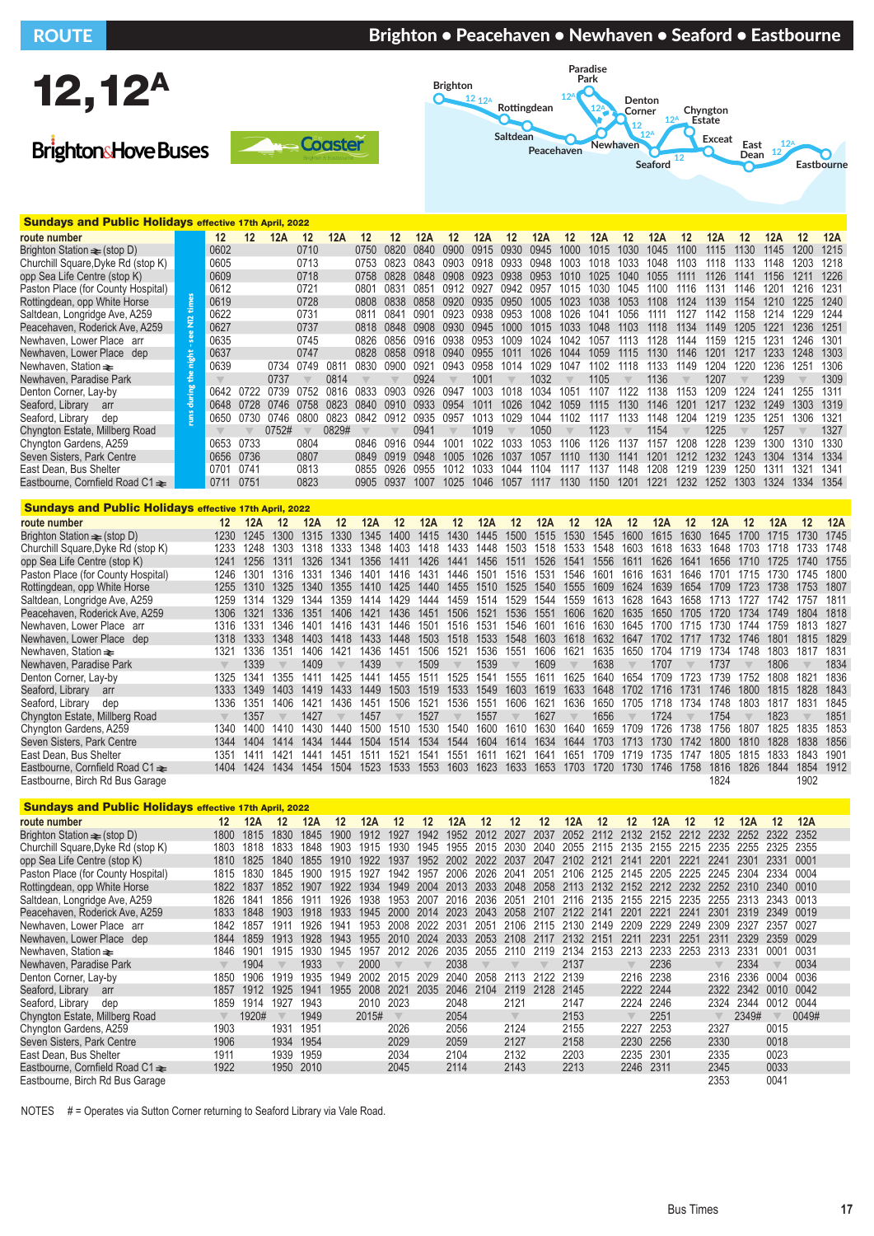# ROUTE BRIGHT BRIGHT IN BRIGHTON • Peacehaven • Newhaven • Seaford • Eastbourne



**BrightonsHove Buses** 





| <b>Sundays and Public Holidays effective 17th April, 2022</b> |                      |      |                   |       |      |             |       |       |       |                  |        |      |      |      |      |      |      |      |      |       |      |      |      |
|---------------------------------------------------------------|----------------------|------|-------------------|-------|------|-------------|-------|-------|-------|------------------|--------|------|------|------|------|------|------|------|------|-------|------|------|------|
| route number                                                  |                      | 12   | $12 \overline{ }$ | 12A   | 12   | 12A         | 12    | 12    | 12A   | 12               | 12A    | 12   | 12A  | 12   | 12A  | 12   | 12A  | 12   | 12A  | 12    | 12A  | 12   | 12A  |
| Brighton Station $\equiv$ (stop D)                            |                      | 0602 |                   |       | 0710 |             | 0750  | 0820  | 0840  | 0.900            | 0915   | 0930 | 0945 | 1000 | 1015 | 1030 | 1045 | 1100 | 1115 | 1130. | 1145 | 1200 | 1215 |
| Churchill Square, Dyke Rd (stop K)                            |                      | 0605 |                   |       | 0713 |             | 0753  | 0823  | 0843  | 0903             | 0918   | 0933 | 0948 | 1003 | 1018 | 1033 | 1048 | 1103 | 1118 | 1133  | 1148 | 1203 | 1218 |
| opp Sea Life Centre (stop K)                                  |                      | 0609 |                   |       | 0718 |             | 0758  | 0828  | 0848  | 0908             | 0.923  | 0938 | 0953 | 1010 | 1025 | 1040 | 1055 | 1111 | 1126 | 1141  | 1156 | 1211 | 1226 |
| Paston Place (for County Hospital)                            |                      | 0612 |                   |       | 0721 |             | 0801  | 0831  | 0851  | 0912             | በ927   | 0942 | 0957 | 1015 | 1030 | 1045 | 1100 | 1116 | 1131 | 1146  | 1201 | 1216 | 1231 |
| Rottingdean, opp White Horse                                  |                      | 0619 |                   |       | 0728 |             | 0808  | 0838  | 0858  | 0920             | 0935   | 0950 | 1005 | 1023 | 1038 | 1053 | 1108 | 1124 | 1139 | 1154  | 1210 | 1225 | 1240 |
| Saltdean, Longridge Ave, A259                                 | $\mathbf{\tilde{c}}$ | 0622 |                   |       | 0731 |             | 0811  | 0841  | 0901  | 0923             | 0938   | 0953 | 1008 | 1026 | 1041 | 1056 | 1111 | 1127 | 1142 | 1158  | 1214 | 1229 | 1244 |
| Peacehaven, Roderick Ave, A259                                | Ξ                    | 0627 |                   |       | 0737 |             | 0818  | 0848  | 0.908 | 0930             | 0945   | 1000 | 1015 | 1033 | 1048 | 1103 | 1118 | 1134 | 1149 | 1205  | 122  | 1236 | 1251 |
| Newhaven, Lower Place arr                                     |                      | 0635 |                   |       | 0745 |             | 0826  | 0856  | 0916  | 0938             | (1953) | 1009 | 1024 | 1042 | 1057 | 1113 | 128  | 144  | 1159 | 1215  | 1231 | 1246 | 1301 |
| Newhaven, Lower Place dep                                     | 틦                    | 0637 |                   |       | 0747 |             | 0828. | 0858  | 0918  | 0940             | 0955   | 1011 | 1026 | 1044 | 1059 | 1115 | 1130 | 1146 | 1201 | 1217  | 1233 | 1248 | 1303 |
| Newhaven. Station <del>≥</del>                                |                      | 0639 |                   | 0734  | 0749 | 081'        | 0830  | 0.900 | 0921  | 0943             | 0958   | 1014 | 1029 | 1047 | 1102 | 1118 | 1133 | 1149 | 1204 | 1220  | 1236 | 1251 | 1306 |
| Newhaven, Paradise Park                                       |                      |      |                   | 0737  |      | 0814        |       |       | 0924  |                  | 1001   |      | 1032 |      | 1105 |      | 1136 |      | 1207 |       | 1239 |      | 1309 |
| Denton Corner, Lay-by                                         |                      | 0642 | 0722              | 0739  | 0752 | 0816        | 0833  | 0903  | 0926  | 0947             | 1003   | 1018 | 1034 | 105' | 1107 | 1122 | 138  | 153  | 1209 | 1224  | 1241 | 1255 | 1311 |
| Seaford, Library<br>arr                                       | Ѣ                    | 0648 | 0728              | 0746  | 0758 | <b>0823</b> | 0840  | 0910  | 0933  | 0954             | 1011   | 1026 | 1042 | 1059 | 1115 | 1130 | 1146 | 1201 | 1217 | 1232  | 1249 | 1303 | 1319 |
| Seaford, Library<br>dep                                       | Ë                    | 0650 | 0730              | 0746  | 0800 | 0823        | 0842  | 0912  | 0935  | 0957             | 1013   | 1029 | 1044 | 1102 | 1117 | 1133 | 148  | 1204 | 1219 | 1235  | 1251 | 1306 | 1321 |
| Chyngton Estate, Millberg Road                                |                      |      |                   | 0752# |      | 0829#       |       |       | 0941  |                  | 1019   |      | 1050 |      | 1123 |      | 1154 |      | 1225 |       | 1257 |      | 1327 |
| Chyngton Gardens, A259                                        |                      | 0653 | 0733              |       | 0804 |             | 0846  | 0916  | 0944  | 100 <sup>1</sup> | 1022   | 1033 | 1053 | 1106 | 1126 | 1137 | 157  | 1208 | 1228 | 1239  | 1300 | 1310 | 1330 |
| Seven Sisters, Park Centre                                    |                      | 0656 | 0736              |       | 0807 |             | 0849  | 0919  | 0948  | 1005             | 1026   | 1037 | 1057 | 1110 | 1130 | 1141 | 1201 | 1212 | 1232 | 1243  | 1304 | 1314 | 1334 |
| East Dean. Bus Shelter                                        |                      | 0701 | 0741              |       | 0813 |             | 0855  | 0926  | 0955  | 1012             | 1033   | 1044 | 1104 | 1117 | 1137 | 1148 | 1208 | 1219 | 1239 | 1250  | 131' | 1321 | 1341 |
| Eastbourne, Cornfield Road C1 <del>≥</del>                    |                      | 0711 | 0751              |       | 0823 |             | 0905  | 0937  | 1007  | 1025             | 1046   | 1057 | 1117 | 1130 | 1150 | 1201 | 1221 | 1232 | 1252 | 1303  | 1324 | 1334 | 1354 |
|                                                               |                      |      |                   |       |      |             |       |       |       |                  |        |      |      |      |      |      |      |      |      |       |      |      |      |

| <b>Sundays and Public Holidays effective 17th April, 2022</b> |                         |      |         |                  |      |      |      |               |               |      |                   |               |      |      |         |      |      |      |         |      |      |      |
|---------------------------------------------------------------|-------------------------|------|---------|------------------|------|------|------|---------------|---------------|------|-------------------|---------------|------|------|---------|------|------|------|---------|------|------|------|
| route number                                                  | 12                      | 12A  | $12 \,$ | 12A              | 12   | 12A  | 12   | 12A           | 12            | 12A  | $12 \overline{ }$ | 12A           | 12   | 12A  | $12 \,$ | 12A  | -12  | 12A  | $12 \,$ | 12A  | 12   | 12A  |
| Brighton Station $\equiv$ (stop D)                            | 1230                    | 1245 | 1300    | 1315             | 1330 | 1345 | 1400 | 1415          | 1430          | 1445 | 1500              | 1515          | 1530 | 1545 | 1600    | 1615 | 1630 | 1645 | 1700    | 1715 | 1730 | 1745 |
| Churchill Square, Dyke Rd (stop K)                            | 1233                    | 1248 | 1303    | 1318             | 1333 | 1348 | 1403 | 1418          | 1433          | 1448 | 1503              | 1518          | 1533 | 1548 | 1603    | 1618 | 1633 | 1648 | 1703    |      | 1733 | 1748 |
| opp Sea Life Centre (stop K)                                  | 1241                    | 1256 | 1311    | 1326             | 1341 | 1356 | 1411 | 1426          | 1441          | 1456 | 1511              | 1526          | 1541 | 1556 | 1611    | 1626 | 1641 | 1656 | 1710    | 1725 | 1740 | 1755 |
| Paston Place (for County Hospital)                            | 1246                    | 1301 | 1316    | 1331             | 1346 | 1401 | 1416 | 1431          | 1446          | 1501 | 1516              | 1531          | 1546 | 1601 | 1616    | 1631 | 1646 | 1701 | 1715    | 1730 | 1745 | 1800 |
| Rottingdean, opp White Horse                                  | 1255                    | 1310 | 1325    | 1340             | 1355 | 1410 | 1425 | 1440          | 1455          | 1510 | 1525              | 1540          | 1555 | 1609 | 1624    | 1639 | 1654 | 1709 | 1723    | 1738 | 1753 | 1807 |
| Saltdean, Longridge Ave, A259                                 | 1259.                   | 1314 | 1329    | 1344             | 1359 | 1414 | 1429 | 1444          | 1459          | 1514 | 1529              | 1544          | 1559 | 1613 | 1628    | 1643 | 1658 | 1713 | 1727    | 1742 | 1757 | 1811 |
| Peacehaven, Roderick Ave, A259                                | 1306                    | 1321 | 1336    | 1351             | 1406 | 1421 | 1436 | 1451          | 1506          | 1521 | 1536              | 1551          | 1606 | 1620 | 1635    | 1650 | 1705 | 1720 | 1734    | 1749 | 1804 | 1818 |
| Newhaven, Lower Place arr                                     | 1316                    | 1331 | 1346    | 140 <sup>-</sup> | 1416 | 1431 | 1446 | $150^{\circ}$ | 1516          | 153' | 1546              | 1601          | 1616 | 1630 | 1645    | 1700 | 1715 | 1730 | 1744    | 1759 | 1813 | 1827 |
| Newhaven, Lower Place dep                                     | 1318                    | 1333 | 1348    | 1403             | 1418 | 1433 | 1448 | 1503          | 1518          | 1533 | 1548              | 1603          | 1618 | 1632 | 1647    | 1702 | 1717 | 1732 | 1746    | 1801 | 1815 | 1829 |
| Newhaven, Station $\equiv$                                    | 1321                    | 1336 | 1351    | 1406             | 1421 | 1436 | 145' | 1506          | 1521          | 536  | 1551              | 1606          | 1621 | 1635 | 1650    | 1704 | 1719 | 1734 | 1748    | 1803 | 1817 | 1831 |
| Newhaven, Paradise Park                                       |                         | 1339 |         | 1409             |      | 1439 |      | 1509          |               | 1539 |                   | 1609          |      | 1638 |         | 1707 |      | 1737 |         | 1806 |      | 1834 |
| Denton Corner, Lay-by                                         | 1325                    | 1341 | 1355    | 1411             | 1425 | 1441 | 1455 | 1511          | 1525          | 1541 | 1555              | 1611          | 1625 | 1640 | 1654    | 1709 | 1723 | 1739 | 1752    | 1808 | 1821 | 1836 |
| Seaford, Library<br>arr                                       | 1333                    | 1349 | 1403    | 1419             | 1433 | 1449 | 1503 | 1519          | 1533          | 1549 | 1603              | 1619          | 1633 | 1648 | 1702    | 1716 | 1731 | 1746 | 1800    | 1815 | 1828 | 1843 |
| Seaford, Library<br>dep                                       | 1336                    | 1351 | 1406    | 1421             | 1436 | 1451 | 1506 | 1521          | 1536          | 1551 | 1606              | 1621          | 1636 | 1650 | 1705    | 1718 | 1734 | 1748 | 1803    | 1817 | 1831 | 1845 |
| Chyngton Estate, Millberg Road                                | $\overline{\mathbb{V}}$ | 1357 |         | 1427             |      | 1457 |      | 1527          |               | 1557 |                   | 1627          |      | 1656 |         | 1724 |      | 1754 |         | 1823 |      | 1851 |
| Chyngton Gardens, A259                                        | 1340                    | 1400 | 1410    | 1430             | 1440 | 1500 | 1510 | 1530          | 1540          | 1600 | 1610              | 1630          | 1640 | 1659 | 1709    | 1726 | 1738 | 1756 | 1807    | 1825 | 1835 | 1853 |
| Seven Sisters, Park Centre                                    | 1344                    | 1404 | 1414    | 1434             | 1444 | 1504 | 1514 | 1534          | 1544          | 1604 | 1614              | 1634          | 1644 | 703  |         | 1730 | 1742 | 1800 | 1810    | 1828 | 1838 | 1856 |
| East Dean, Bus Shelter                                        | 1351                    | 1411 | 1421    | 1441             | 1451 | 1511 | 152  | $154^{\circ}$ | $155^{\circ}$ | 1611 | 162               | $164^{\circ}$ | 165  | 709  |         | 1735 | 1747 | 1805 | 1815    | 1833 | 1843 | 1901 |
| Eastbourne. Cornfield Road C1 $\rightleftharpoons$            | 1404                    | 1424 | 1434    | 1454             | 1504 | 1523 | 1533 | 1553          | 1603          | 1623 | 1633              | 1653          | 1703 | 1720 | 1730    | 1746 | 1758 | 1816 | 1826    | 1844 | 1854 | 1912 |
| Eastbourne, Birch Rd Bus Garage                               |                         |      |         |                  |      |      |      |               |               |      |                   |               |      |      |         |      |      | 1824 |         |      | 1902 |      |

| <b>Sundays and Public Holidays effective 17th April, 2022</b> |                         |       |      |      |      |       |                         |      |      |      |                         |      |      |                          |           |      |      |      |       |      |           |
|---------------------------------------------------------------|-------------------------|-------|------|------|------|-------|-------------------------|------|------|------|-------------------------|------|------|--------------------------|-----------|------|------|------|-------|------|-----------|
| route number                                                  | 12                      | 12A   | 12   | 12A  | 12   | 12A   | 12                      | 12   | 12A  | 12   | 12                      | 12   | 12A  | 12                       | 12        | 12A  | 12   | 12   | 12A   | 12   | 12A       |
| Brighton Station $\equiv$ (stop D)                            | 1800                    | 1815  | 1830 | 1845 | 1900 | 1912  | 1927                    | 1942 | 1952 | 2012 | 2027                    | 2037 | 2052 | 2112                     | 2132      | 2152 | 2212 | 2232 | 2252  | 2322 | 2352      |
| Churchill Square, Dyke Rd (stop K)                            | 1803                    | 1818  | 1833 | 1848 | 1903 | 1915  | 1930                    | 1945 | 1955 | 2015 | 2030                    | 2040 |      | 2055 2115 2135 2155 2215 |           |      |      | 2235 | 2255  | 2325 | 2355      |
| opp Sea Life Centre (stop K)                                  | 1810                    | 1825  | 1840 | 1855 | 1910 | 1922  | 1937                    | 1952 | 2002 | 2022 | 2037                    | 2047 | 2102 | 2121                     | 2141      | 2201 | 2221 | 2241 | 2301  | 2331 | 0001      |
| Paston Place (for County Hospital)                            | 1815                    | 1830  | 1845 | 1900 | 1915 | 1927  | 1942                    | 1957 | 2006 | 2026 | 2041                    | 2051 | 2106 | 2125 2145                |           | 2205 | 2225 | 2245 | 2304  | 2334 | 0004      |
| Rottingdean, opp White Horse                                  | 1822                    | 1837  | 1852 | 1907 | 1922 | 1934  | 1949                    | 2004 | 2013 | 2033 | 2048                    | 2058 | 2113 | 2132 2152 2212           |           |      | 2232 | 2252 | 2310  |      | 2340 0010 |
| Saltdean, Longridge Ave, A259                                 | 1826                    | 1841  | 1856 | 1911 | 1926 | 1938  | 1953                    | 2007 | 2016 | 2036 | 2051                    | 2101 | 2116 | 2135 2155                |           | 2215 | 2235 | 2255 | 2313  | 2343 | 0013      |
| Peacehaven, Roderick Ave, A259                                | 1833                    | 1848  | 1903 | 1918 | 1933 | 1945  | 2000                    | 2014 | 2023 | 2043 | 2058                    | 2107 | 2122 | 2141                     | 220.7     | 2221 | 224. | 2301 | 2319  | 2349 | 0019      |
| Newhaven, Lower Place arr                                     | 1842                    | 1857  | 1911 | 1926 | 1941 | 1953  | 2008                    | 2022 | 2031 | 2051 | 2106                    | 2115 | 2130 | 2149                     | 2209      | 2229 | 2249 | 2309 | 2327  | 2357 | 0027      |
| Newhaven, Lower Place dep                                     | 1844                    | 1859  | 1913 | 1928 | 1943 | 1955  | 2010                    | 2024 | 2033 | 2053 | 2108 2117               |      | 2132 | 2151                     | 2211      | 2231 | 2251 | 2311 | 2329  | 2359 | 0029      |
| Newhaven, Station $\equiv$                                    | 1846                    | 1901  | 1915 | 1930 | 1945 | 1957  | 2012                    | 2026 | 2035 | 2055 | 2110                    | 2119 | 2134 | 2153                     | 2213      | 2233 | 2253 | 2313 | 2331  | 0001 | 0031      |
| Newhaven, Paradise Park                                       | $\overline{\mathbb{V}}$ | 1904  |      | 1933 |      | 2000  |                         |      | 2038 |      |                         |      | 2137 |                          |           | 2236 |      |      | 2334  |      | 0034      |
| Denton Corner, Lay-by                                         | 1850                    | 1906  | 1919 | 1935 | 1949 | 2002  | 2015                    | 2029 | 2040 | 2058 | 2113                    | 2122 | 2139 |                          | 2216      | 2238 |      | 2316 | 2336  | 0004 | 0036      |
| Seaford Library arr                                           | 1857                    | 1912  | 1925 | 1941 | 1955 | 2008  | 2021                    | 2035 | 2046 | 2104 | 2119                    | 2128 | 2145 |                          | 2222 2244 |      |      | 2322 | 2342  | 0010 | 0042      |
| Seaford, Library<br>dep                                       | 1859                    | 1914  | 1927 | 1943 |      | 2010  | 2023                    |      | 2048 |      | 2121                    |      | 2147 |                          | 2224      | 2246 |      | 2324 | 2344  | 0012 | 0044      |
| Chyngton Estate, Millberg Road                                |                         | 1920# |      | 1949 |      | 2015# | $\overline{\mathbb{V}}$ |      | 2054 |      | $\overline{\mathbb{V}}$ |      | 2153 |                          |           | 2251 |      |      | 2349# |      | 0049#     |
| Chyngton Gardens, A259                                        | 1903                    |       | 1931 | 1951 |      |       | 2026                    |      | 2056 |      | 2124                    |      | 2155 |                          | 2227      | 2253 |      | 2327 |       | 0015 |           |
| Seven Sisters, Park Centre                                    | 1906                    |       | 1934 | 1954 |      |       | 2029                    |      | 2059 |      | 2127                    |      | 2158 |                          | 2230      | 2256 |      | 2330 |       | 0018 |           |
| East Dean, Bus Shelter                                        | 1911                    |       | 1939 | 1959 |      |       | 2034                    |      | 2104 |      | 2132                    |      | 2203 |                          | 2235      | 2301 |      | 2335 |       | 0023 |           |
| Eastbourne. Cornfield Road C1 $\rightleftharpoons$            | 1922                    |       | 1950 | 2010 |      |       | 2045                    |      | 2114 |      | 2143                    |      | 2213 |                          | 2246      | 2311 |      | 2345 |       | 0033 |           |
| Eastbourne, Birch Rd Bus Garage                               |                         |       |      |      |      |       |                         |      |      |      |                         |      |      |                          |           |      |      | 2353 |       | 0041 |           |

NOTES # = Operates via Sutton Corner returning to Seaford Library via Vale Road.